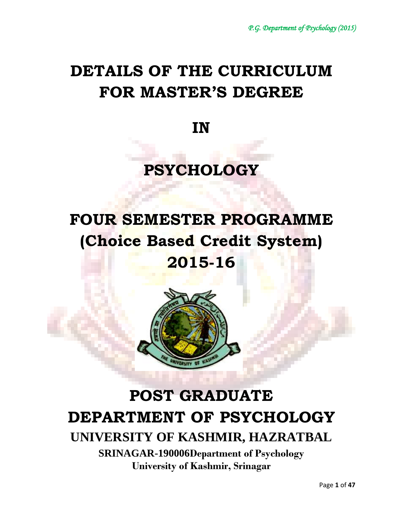# **DETAILS OF THE CURRICULUM FOR MASTER'S DEGREE**

**IN**

# **PSYCHOLOGY**

# **FOUR SEMESTER PROGRAMME (Choice Based Credit System)**

# **2015-16**



# **POST GRADUATE DEPARTMENT OF PSYCHOLOGY UNIVERSITY OF KASHMIR, HAZRATBAL**

**SRINAGAR-190006Department of Psychology University of Kashmir, Srinagar**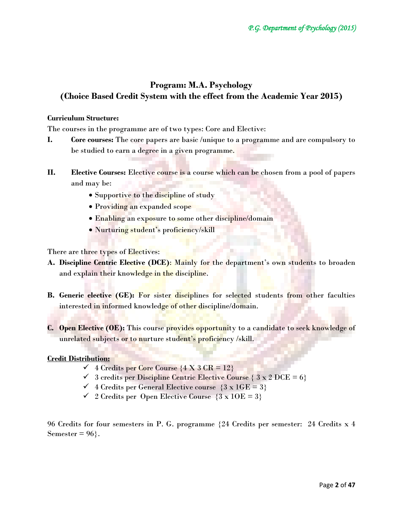# **Program: M.A. Psychology (Choice Based Credit System with the effect from the Academic Year 2015)**

# **Curriculum Structure:**

The courses in the programme are of two types: Core and Elective:

- **I. Core courses:** The core papers are basic /unique to a programme and are compulsory to be studied to earn a degree in a given programme.
- **II. Elective Courses:** Elective course is a course which can be chosen from a pool of papers and may be:
	- Supportive to the discipline of study
	- Providing an expanded scope
	- Enabling an exposure to some other discipline/domain
	- Nurturing student's proficiency/skill

There are three types of Electives:

- **A. Discipline Centric Elective (DCE)**: Mainly for the department's own students to broaden and explain their knowledge in the discipline.
- **B. Generic elective (GE):** For sister disciplines for selected students from other faculties interested in informed knowledge of other discipline/domain.
- **C. Open Elective (OE):** This course provides opportunity to a candidate to seek knowledge of unrelated subjects or to nurture student's proficiency /skill.

# **Credit Distribution:**

- $\checkmark$  4 Credits per Core Course  $\{4 \times 3 \text{ CR} = 12\}$
- $\checkmark$  3 credits per Discipline Centric Elective Course  $\{3 \times 2 \text{ DCE} = 6\}$
- $\checkmark$  4 Credits per General Elective course  $\{3 \times 1 \text{GE} = 3\}$
- $\checkmark$  2 Credits per Open Elective Course  $\{3 \times 10E = 3\}$

96 Credits for four semesters in P. G. programme {24 Credits per semester: 24 Credits x 4 Semester =  $96$ .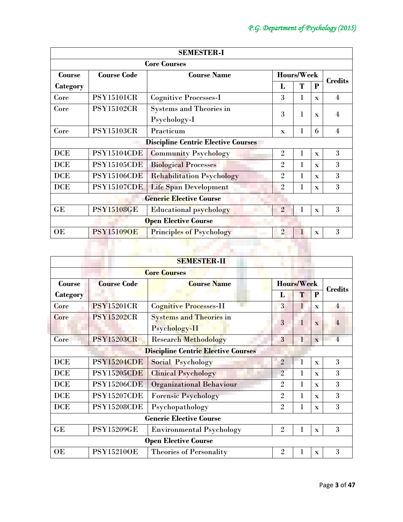| <b>SEMESTER-I</b>                          |                    |                                  |                |                |                |                |
|--------------------------------------------|--------------------|----------------------------------|----------------|----------------|----------------|----------------|
|                                            |                    | <b>Core Courses</b>              |                |                |                |                |
| <b>Course</b>                              | <b>Course Code</b> | <b>Course Name</b>               | Hours/Week     |                | <b>Credits</b> |                |
| Category                                   |                    |                                  | L              | T              | P              |                |
| Core                                       | <b>PSY15101CR</b>  | <b>Cognitive Processes-I</b>     | 3              | 1              | $\mathbf{x}$   | $\overline{4}$ |
| Core                                       | <b>PSY15102CR</b>  | <b>Systems and Theories in</b>   | 3              | 1              |                | $\overline{4}$ |
|                                            |                    | Psychology-I                     |                |                | $\mathbf{x}$   |                |
| Core                                       | <b>PSY15103CR</b>  | Practicum                        | $\mathbf{x}$   | 1              | 6              | $\overline{4}$ |
| <b>Discipline Centric Elective Courses</b> |                    |                                  |                |                |                |                |
| <b>DCE</b>                                 | <b>PSY15104CDE</b> | <b>Community Psychology</b>      | $\overline{2}$ | 1              | $\mathbf{x}$   | 3              |
| <b>DCE</b>                                 | <b>PSY15105CDE</b> | <b>Biological Processes</b>      | $\overline{2}$ | 1              | $\mathbf{x}$   | 3              |
| <b>DCE</b>                                 | <b>PSY15106CDE</b> | <b>Rehabilitation Psychology</b> | $\overline{2}$ | 1              | $\mathbf{x}$   | 3              |
| <b>DCE</b>                                 | <b>PSY15107CDE</b> | <b>Life Span Development</b>     | 2              | 1              | $\mathbf{x}$   | 3              |
|                                            |                    | <b>Generic Elective Course</b>   |                |                |                |                |
| GE                                         | <b>PSY15108GE</b>  | <b>Educational psychology</b>    | $\overline{2}$ | 1              | $\mathbf{x}$   | 3              |
|                                            |                    | <b>Open Elective Course</b>      |                |                |                |                |
| OE                                         | <b>PSY151090E</b>  | <b>Principles of Psychology</b>  | $\overline{2}$ | $\overline{1}$ | $\mathbf{x}$   | 3              |
|                                            |                    |                                  |                |                |                |                |
|                                            |                    |                                  |                |                |                |                |

| <b>SEMESTER-II</b>                         |                    |                                 |                   |              |              |                |  |  |
|--------------------------------------------|--------------------|---------------------------------|-------------------|--------------|--------------|----------------|--|--|
| <b>Core Courses</b>                        |                    |                                 |                   |              |              |                |  |  |
| <b>Course</b>                              | <b>Course Code</b> | <b>Course Name</b>              | <b>Hours/Week</b> |              |              | <b>Credits</b> |  |  |
| <b>Category</b>                            |                    |                                 | L                 | T            | P            |                |  |  |
| Core                                       | <b>PSY15201CR</b>  | Cognitive Processes-II          | 3                 | $\mathbf{1}$ | $\mathbf{x}$ | $\overline{4}$ |  |  |
| Core                                       | <b>PSY15202CR</b>  | <b>Systems and Theories in</b>  | 3                 |              |              | $\overline{4}$ |  |  |
|                                            |                    | Psychology-II                   |                   |              | $\mathbf{x}$ |                |  |  |
| Core                                       | <b>PSY15203CR</b>  | <b>Research Methodology</b>     | 3                 | 1            | $\mathbf{x}$ | $\overline{4}$ |  |  |
| <b>Discipline Centric Elective Courses</b> |                    |                                 |                   |              |              |                |  |  |
| <b>DCE</b>                                 | <b>PSY15204CDE</b> | Social Psychology               | $\overline{2}$    | $\mathbf{1}$ | $\mathbf{x}$ | 3              |  |  |
| <b>DCE</b>                                 | <b>PSY15205CDE</b> | <b>Clinical Psychology</b>      | $\overline{2}$    | 1            | $\mathbf{x}$ | 3              |  |  |
| <b>DCE</b>                                 | <b>PSY15206CDE</b> | <b>Organizational Behaviour</b> | $\overline{2}$    | 1            | $\mathbf x$  | 3              |  |  |
| <b>DCE</b>                                 | <b>PSY15207CDE</b> | <b>Forensic Psychology</b>      | $\overline{2}$    | $\bf{l}$     | $\mathbf{x}$ | 3              |  |  |
| <b>DCE</b>                                 | PSY15208CDE        | Psychopathology                 | $\overline{2}$    | 1            | $\mathbf{x}$ | 3              |  |  |
| <b>Generic Elective Course</b>             |                    |                                 |                   |              |              |                |  |  |
| GE                                         | <b>PSY15209GE</b>  | <b>Environmental Psychology</b> | $\overline{2}$    | 1            | $\mathbf x$  | 3              |  |  |
|                                            |                    | <b>Open Elective Course</b>     |                   |              |              |                |  |  |
| OE                                         | <b>PSY15210OE</b>  | <b>Theories of Personality</b>  | $\mathfrak{2}$    |              | $\mathbf x$  | 3              |  |  |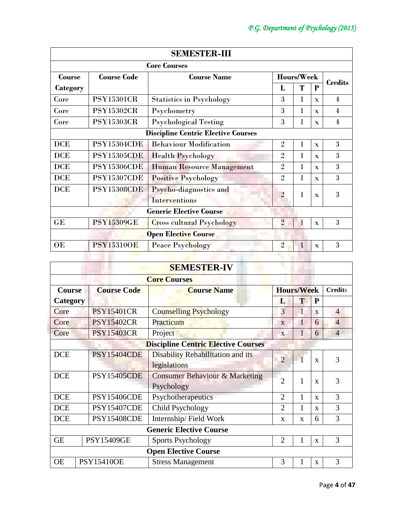| <b>SEMESTER-III</b> |                    |                                            |                |             |              |                |
|---------------------|--------------------|--------------------------------------------|----------------|-------------|--------------|----------------|
|                     |                    | <b>Core Courses</b>                        |                |             |              |                |
| Course              | <b>Course Code</b> | <b>Course Name</b>                         |                | Hours/Week  |              | <b>Credits</b> |
| Category            |                    |                                            | L              | T           | P            |                |
| Core                | <b>PSY15301CR</b>  | <b>Statistics in Psychology</b>            | 3              | 1           | $\mathbf{x}$ | $\overline{4}$ |
| Core                | <b>PSY15302CR</b>  | Psychometry                                | 3              | 1           | $\mathbf{x}$ | $\overline{4}$ |
| Core                | <b>PSY15303CR</b>  | <b>Psychological Testing</b>               | 3              | l           | $\mathbf{x}$ | $\overline{4}$ |
|                     |                    | <b>Discipline Centric Elective Courses</b> |                |             |              |                |
| <b>DCE</b>          | <b>PSY15304CDE</b> | <b>Behaviour Modification</b>              | $\overline{2}$ | 1           | $\mathbf{x}$ | 3              |
| <b>DCE</b>          | <b>PSY15305CDE</b> | <b>Health Psychology</b>                   | $\overline{2}$ | 1           | $\mathbf{x}$ | 3              |
| <b>DCE</b>          | <b>PSY15306CDE</b> | <b>Human Resource Management</b>           | $\overline{2}$ | $\bf{l}$    | $\mathbf{x}$ | 3              |
| <b>DCE</b>          | <b>PSY15307CDE</b> | <b>Positive Psychology</b>                 | $\overline{2}$ | $\bf{l}$    | $\mathbf{x}$ | 3              |
| <b>DCE</b>          | <b>PSY15308CDE</b> | Psycho-diagnostics and<br>Interventions    | $\overline{2}$ | 1           | $\mathbf{x}$ | 3              |
|                     |                    | <b>Generic Elective Course</b>             |                |             |              |                |
| GE                  | <b>PSY15309GE</b>  | <b>Cross cultural Psychology</b>           | $\overline{2}$ | $\mathbf 1$ | $\mathbf x$  | 3              |
|                     |                    | <b>Open Elective Course</b>                |                |             |              |                |
| OE                  | <b>PSY153100E</b>  | <b>Peace Psychology</b>                    | $\overline{2}$ | 1           | $\mathbf{x}$ | 3              |
|                     |                    |                                            |                |             |              |                |

| <b>SEMESTER-IV</b>             |                    |                                            |                   |              |              |                |  |
|--------------------------------|--------------------|--------------------------------------------|-------------------|--------------|--------------|----------------|--|
| <b>Core Courses</b>            |                    |                                            |                   |              |              |                |  |
| <b>Course</b>                  | <b>Course Code</b> | <b>Course Name</b>                         | <b>Hours/Week</b> |              |              | <b>Credits</b> |  |
| <b>Category</b>                |                    |                                            | L                 | Т            | $\mathbf{P}$ |                |  |
| Core                           | <b>PSY15401CR</b>  | <b>Counselling Psychology</b>              | 3                 |              | X            | $\overline{4}$ |  |
| Core                           | <b>PSY15402CR</b>  | Practicum                                  | $\mathbf{X}$      | 1            | 6            | $\overline{4}$ |  |
| Core                           | <b>PSY15403CR</b>  | Project                                    | $\mathbf{x}$      | 1            | 6            | $\overline{4}$ |  |
|                                |                    | <b>Discipline Centric Elective Courses</b> |                   |              |              |                |  |
| <b>DCE</b>                     | <b>PSY15404CDE</b> | Disability Rehabilitation and its          | $\overline{2}$    |              | $\mathbf{x}$ | 3              |  |
|                                |                    | legislations                               |                   |              |              |                |  |
| <b>DCE</b>                     | <b>PSY15405CDE</b> | <b>Consumer Behaviour &amp; Marketing</b>  | $\overline{2}$    | 1            | $\mathbf x$  | 3              |  |
|                                |                    | Psychology                                 |                   |              |              |                |  |
| <b>DCE</b>                     | <b>PSY15406CDE</b> | Psychotherapeutics                         | $\overline{2}$    | 1            | $\mathbf{x}$ | 3              |  |
| <b>DCE</b>                     | <b>PSY15407CDE</b> | Child Psychology                           | $\overline{2}$    |              | $\mathbf{x}$ | 3              |  |
| <b>DCE</b>                     | <b>PSY15408CDE</b> | Internship/Field Work                      | X                 | $\mathbf{x}$ | 6            | 3              |  |
| <b>Generic Elective Course</b> |                    |                                            |                   |              |              |                |  |
| <b>GE</b>                      | <b>PSY15409GE</b>  | <b>Sports Psychology</b>                   | $\overline{2}$    |              | $\mathbf{X}$ | 3              |  |
|                                |                    | <b>Open Elective Course</b>                |                   |              |              |                |  |
| <b>OE</b>                      | <b>PSY15410OE</b>  | <b>Stress Management</b>                   | 3                 |              | $\mathbf{x}$ | 3              |  |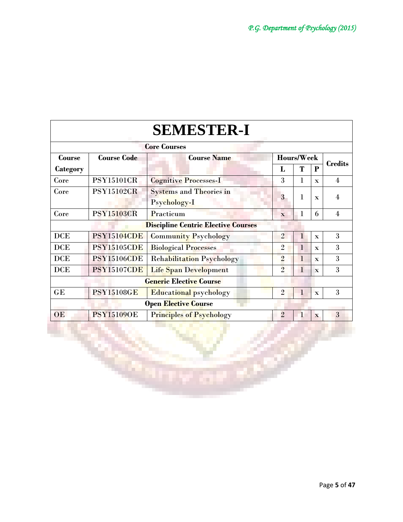|            |                                          | <b>SEMESTER-I</b>                          |                |              |              |                |  |
|------------|------------------------------------------|--------------------------------------------|----------------|--------------|--------------|----------------|--|
|            |                                          | <b>Core Courses</b>                        |                |              |              |                |  |
| Course     | <b>Course Code</b><br><b>Course Name</b> |                                            |                | Hours/Week   |              | <b>Credits</b> |  |
| Category   |                                          |                                            | L              | Т            | P            |                |  |
| Core       | <b>PSY15101CR</b>                        | <b>Cognitive Processes-I</b>               | 3              | 1            | $\mathbf{x}$ | $\overline{4}$ |  |
| Core       | <b>PSY15102GR</b>                        | <b>Systems and Theories in</b>             | 3              | $\mathbf 1$  |              | 4              |  |
|            |                                          | Psychology-I                               |                |              | $\mathbf{x}$ |                |  |
| Core       | <b>PSY15103CR</b>                        | Practicum                                  | $\mathbf{x}$   | 1            | 6            | $\overline{4}$ |  |
|            |                                          | <b>Discipline Centric Elective Courses</b> |                |              |              |                |  |
| <b>DCE</b> | <b>PSY15104CDE</b>                       | <b>Community Psychology</b>                | $\overline{2}$ | $\mathbf{1}$ | $\mathbf{x}$ | 3              |  |
| <b>DCE</b> | <b>PSY15105CDE</b>                       | <b>Biological Processes</b>                | $\overline{2}$ | 1            | $\mathbf{x}$ | 3              |  |
| <b>DCE</b> | <b>PSY15106CDE</b>                       | <b>Rehabilitation Psychology</b>           | $\overline{2}$ | $\mathbf{1}$ | $\mathbf{x}$ | 3              |  |
| <b>DCE</b> | <b>PSY15107CDE</b>                       | Life Span Development                      | $\overline{2}$ | $\mathbf{1}$ | $\mathbf{x}$ | 3              |  |
|            |                                          | <b>Generic Elective Course</b>             |                |              |              |                |  |
| GE         | <b>PSY15108GE</b>                        | <b>Educational psychology</b>              | $\overline{2}$ | 1            | $\mathbf{x}$ | 3              |  |
|            | <b>Open Elective Course</b>              |                                            |                |              |              |                |  |
| OE         | <b>PSY15109OE</b>                        | <b>Principles of Psychology</b>            | $\overline{2}$ | $\mathbf{1}$ | $\mathbf{x}$ | 3              |  |
|            |                                          |                                            |                |              |              |                |  |
|            |                                          |                                            |                |              |              |                |  |

26

an,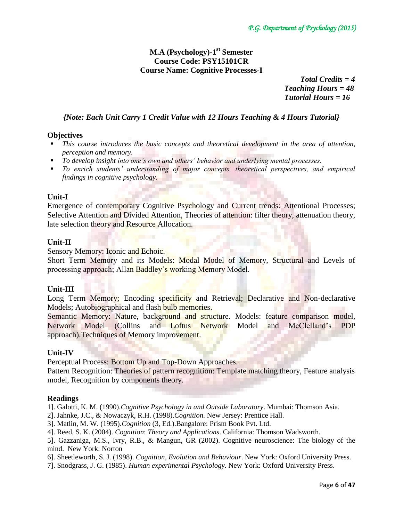# **M.A (Psychology)-1 st Semester Course Code: PSY15101CR Course Name: Cognitive Processes-I**

 *Total Credits = 4 Teaching Hours = 48 Tutorial Hours = 16*

# *{Note: Each Unit Carry 1 Credit Value with 12 Hours Teaching & 4 Hours Tutorial}*

## **Objectives**

- *This course introduces the basic concepts and theoretical development in the area of attention, perception and memory.*
- *To develop insight into one's own and others' behavior and underlying mental processes.*
- *To enrich students' understanding of major concepts, theoretical perspectives, and empirical findings in cognitive psychology.*

## **Unit-I**

Emergence of contemporary Cognitive Psychology and Current trends: Attentional Processes; Selective Attention and Divided Attention, Theories of attention: filter theory, attenuation theory, late selection theory and Resource Allocation.

## **Unit-II**

Sensory Memory: Iconic and Echoic.

Short Term Memory and its Models: Modal Model of Memory, Structural and Levels of processing approach; Allan Baddley's working Memory Model.

## **Unit-III**

Long Term Memory; Encoding specificity and Retrieval; Declarative and Non-declarative Models; Autobiographical and flash bulb memories.

Semantic Memory: Nature, background and structure. Models: feature comparison model, Network Model (Collins and Loftus Network Model and McClelland's PDP approach).Techniques of Memory improvement.

## **Unit-IV**

Perceptual Process: Bottom Up and Top-Down Approaches.

Pattern Recognition: Theories of pattern recognition: Template matching theory, Feature analysis model, Recognition by components theory.

## **Readings**

1]. Galotti, K. M. (1990).*Cognitive Psychology in and Outside Laboratory*. Mumbai: Thomson Asia.

2]. Jahnke, J.C., & Nowaczyk, R.H. (1998).*Cognition.* New Jersey: Prentice Hall.

- 3]. Matlin, M. W. (1995).*Cognition* (3, Ed.).Bangalore: Prism Book Pvt. Ltd.
- 4]. Reed, S. K. (2004). *Cognition*: *Theory and Applications*. California: Thomson Wadsworth.

5]. Gazzaniga, M.S., Ivry, R.B., & Mangun, GR (2002). Cognitive neuroscience: The biology of the mind. New York: Norton

6]. Sheetleworth, S. J. (1998). *Cognition, Evolution and Behaviour*. New York: Oxford University Press.

7]. Snodgrass, J. G. (1985). *Human experimental Psychology.* New York: Oxford University Press.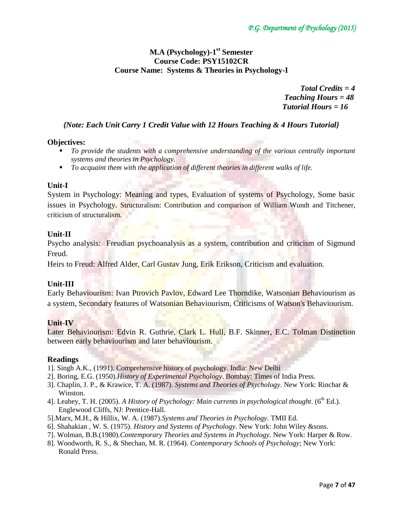# **M.A (Psychology)-1 st Semester Course Code: PSY15102CR Course Name: Systems & Theories in Psychology-I**

 *Total Credits = 4 Teaching Hours = 48 Tutorial Hours = 16*

# *{Note: Each Unit Carry 1 Credit Value with 12 Hours Teaching & 4 Hours Tutorial}*

## **Objectives:**

- *To provide the students with a comprehensive understanding of the various centrally important systems and theories in Psychology.*
- *To acquaint them with the application of different theories in different walks of life.*

## **Unit-I**

System in Psychology: Meaning and types, Evaluation of systems of Psychology, Some basic issues in Psychology. Structuralism: Contribution and comparison of William Wundt and Titchener, criticism of structuralism.

## **Unit-II**

Psycho analysis: Freudian psychoanalysis as a system, contribution and criticism of Sigmund Freud.

Heirs to Freud: Alfred Alder, Carl Gustav Jung, Erik Erikson, Criticism and evaluation.

# **Unit-III**

Early Behaviourism: Ivan Ptrovich Pavlov, Edward Lee Thorndike, Watsonian Behaviourism as a system, Secondary features of Watsonian Behaviourism, Criticisms of Watson's Behaviourism.

## **Unit-IV**

Later Behaviourism: Edvin R. Guthrie, Clark L. Hull, B.F. Skinner, E.C. Tolman Distinction between early behaviourism and later behaviourism.

## **Readings**

- 1]. Singh A.K., (1991). Comprehensive history of psychology. India: New Delhi
- 2]. Boring, E.G. (1950).*History of Experimental Psychology*. Bombay: Times of India Press.
- 3]. Chaplin, J. P., & Krawice, T. A. (1987). *Systems and Theories of Psychology*. New York: Rinchar & Winston.
- 4]. Leahey, T. H. (2005). A History of Psychology: Main currents in psychological thought. (6<sup>th</sup> Ed.). Englewood Cliffs, NJ: Prentice-Hall.
- 5].Marx, M.H., & Hillix, W. A. (1987).*Systems and Theories in Psychology*. TMII Ed.
- 6]. Shahakian , W. S. (1975). *History and Systems of Psychology*. New York: John Wiley &sons.
- 7]. Wolman, B.B.(1980).*Contemporary Theories and Systems in Psychology*. New York: Harper & Row.
- 8]. Woodworth, R. S., & Shechan, M. R. (1964). *Contemporary Schools of Psychology*; New York: Ronald Press.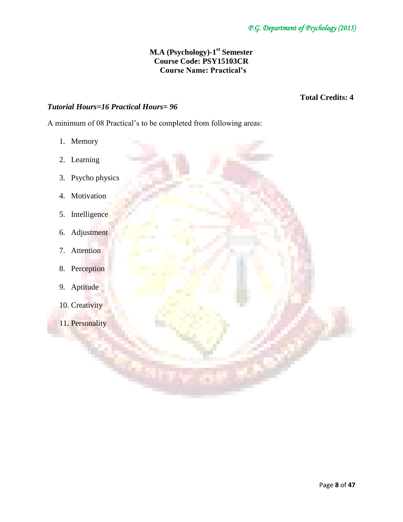# **M.A (Psychology)-1 st Semester Course Code: PSY15103CR Course Name: Practical's**

# *Tutorial Hours=16 Practical Hours= 96*

 **Total Credits: 4** 

A minimum of 08 Practical's to be completed from following areas:

- 1. Memory
- 2. Learning
- 3. Psycho physics
- 4. Motivation
- 5. Intelligence
- 6. Adjustment
- 7. Attention
- 8. Perception
- 9. Aptitude
- 10. Creativity
- 11. Personality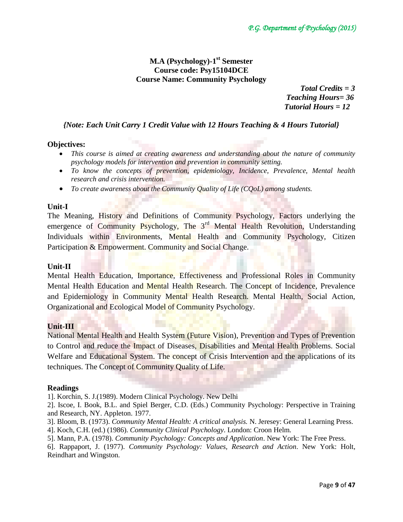# **M.A (Psychology)-1 st Semester Course code: Psy15104DCE Course Name: Community Psychology**

 *Total Credits = 3 Teaching Hours= 36 Tutorial Hours = 12*

# *{Note: Each Unit Carry 1 Credit Value with 12 Hours Teaching & 4 Hours Tutorial}*

# **Objectives:**

- *This course is aimed at creating awareness and understanding about the nature of community psychology models for intervention and prevention in community setting.*
- *To know the concepts of prevention, epidemiology, Incidence, Prevalence, Mental health research and crisis intervention.*
- *To create awareness about the Community Quality of Life (CQoL) among students.*

## **Unit-I**

The Meaning, History and Definitions of Community Psychology, Factors underlying the emergence of Community Psychology, The 3<sup>rd</sup> Mental Health Revolution, Understanding Individuals within Environments, Mental Health and Community Psychology, Citizen Participation & Empowerment. Community and Social Change.

## **Unit-II**

Mental Health Education, Importance, Effectiveness and Professional Roles in Community Mental Health Education and Mental Health Research. The Concept of Incidence, Prevalence and Epidemiology in Community Mental Health Research. Mental Health, Social Action, Organizational and Ecological Model of Community Psychology.

# **Unit-III**

National Mental Health and Health System (Future Vision), Prevention and Types of Prevention to Control and reduce the Impact of Diseases, Disabilities and Mental Health Problems. Social Welfare and Educational System. The concept of Crisis Intervention and the applications of its techniques. The Concept of Community Quality of Life.

## **Readings**

1]. Korchin, S. J.(1989). Modern Clinical Psychology. New Delhi

2]. Iscoe, I. Book, B.L. and Spiel Berger, C.D. (Eds.) Community Psychology: Perspective in Training and Research, NY. Appleton. 1977.

- 3]. Bloom, B. (1973). *Community Mental Health: A critical analysis.* N. Jeresey: General Learning Press.
- 4]. Koch, C.H. (ed.) (1986). *Community Clinical Psychology*. London: Croon Helm.
- 5]. Mann, P.A. (1978). *Community Psychology: Concepts and Application*. New York: The Free Press.

6]. Rappaport, J. (1977). *Community Psychology: Values, Research and Action*. New York: Holt, Reindhart and Wingston.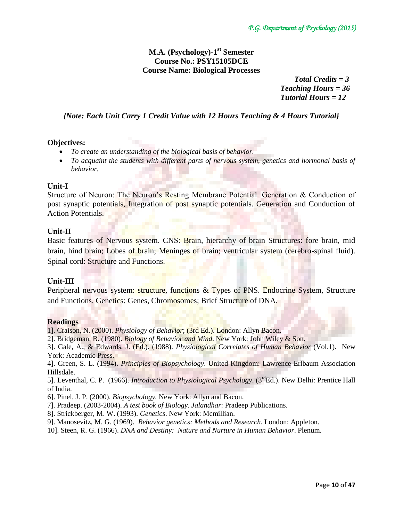# **M.A. (Psychology)-1 st Semester Course No.: PSY15105DCE Course Name: Biological Processes**

 *Total Credits = 3 Teaching Hours = 36 Tutorial Hours = 12*

# *{Note: Each Unit Carry 1 Credit Value with 12 Hours Teaching & 4 Hours Tutorial}*

#### **Objectives:**

- *To create an understanding of the biological basis of behavior.*
- *To acquaint the students with different parts of nervous system, genetics and hormonal basis of behavior.*

#### **Unit-I**

Structure of Neuron: The Neuron's Resting Membrane Potential. Generation & Conduction of post synaptic potentials, Integration of post synaptic potentials. Generation and Conduction of Action Potentials.

#### **Unit-II**

Basic features of Nervous system. CNS: Brain, hierarchy of brain Structures: fore brain, mid brain, hind brain; Lobes of brain; Meninges of brain; ventricular system (cerebro-spinal fluid). Spinal cord: Structure and Functions.

## **Unit-III**

Peripheral nervous system: structure, functions & Types of PNS. Endocrine System, Structure and Functions. Genetics: Genes, Chromosomes; Brief Structure of DNA.

#### **Readings**

1]. Craison, N. (2000). *Physiology of Behavior*; (3rd Ed.). London: Allyn Bacon.

2]. Bridgeman, B. (1980). *Biology of Behavior and Mind*. New York: John Wiley & Son.

3]. Gale, A., & Edwards, J. (Ed.). (1988). *Physiological Correlates of Human Behavior* (Vol.1). New York: Academic Press.

4]. Green, S. L. (1994). *Principles of Biopsychology*. United Kingdom: Lawrence Erlbaum Association Hillsdale.

5]. Leventhal, C. P. (1966). *Introduction to Physiological Psychology*. (3rdEd.). New Delhi: Prentice Hall of India.

6]. Pinel, J. P. (2000). *Biopsychology.* New York: Allyn and Bacon.

7]. Pradeep. (2003-2004). *A test book of Biology. Jalandhar*: Pradeep Publications.

8]. Strickberger, M. W. (1993). *Genetics*. New York: Mcmillian.

9]. Manosevitz, M. G. (1969). *Behavior genetics: Methods and Research*. London: Appleton.

10]. Steen, R. G. (1966). *DNA and Destiny: Nature and Nurture in Human Behavior*. Plenum.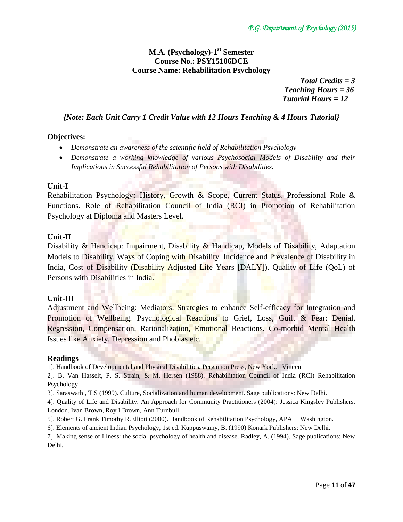# **M.A. (Psychology)-1 st Semester Course No.: PSY15106DCE Course Name: Rehabilitation Psychology**

 *Total Credits = 3 Teaching Hours = 36 Tutorial Hours = 12*

# *{Note: Each Unit Carry 1 Credit Value with 12 Hours Teaching & 4 Hours Tutorial}*

# **Objectives:**

- *Demonstrate an awareness of the scientific field of Rehabilitation Psychology*
- *Demonstrate a working knowledge of various Psychosocial Models of Disability and their Implications in Successful Rehabilitation of Persons with Disabilities.*

## **Unit-I**

Rehabilitation Psychology**:** History, Growth & Scope, Current Status. Professional Role & Functions. Role of Rehabilitation Council of India (RCI) in Promotion of Rehabilitation Psychology at Diploma and Masters Level.

## **Unit-II**

Disability & Handicap: Impairment, Disability & Handicap, Models of Disability, Adaptation Models to Disability, Ways of Coping with Disability. Incidence and Prevalence of Disability in India, Cost of Disability (Disability Adjusted Life Years [DALY]). Quality of Life (QoL) of Persons with Disabilities in India.

## **Unit-III**

Adjustment and Wellbeing: Mediators. Strategies to enhance Self-efficacy for Integration and Promotion of Wellbeing. Psychological Reactions to Grief, Loss, Guilt & Fear: Denial, Regression, Compensation, Rationalization, Emotional Reactions. Co-morbid Mental Health Issues like Anxiety, Depression and Phobias etc.

## **Readings**

1]. Handbook of Developmental and Physical Disabilities. Pergamon Press, New York. Vincent

2]. B. Van Hasselt, P. S. Strain, & M. Hersen (1988). Rehabilitation Council of India (RCI) Rehabilitation Psychology

3]. Saraswathi, T.S (1999). Culture, Socialization and human development. Sage publications: New Delhi.

4]. Quality of Life and Disability. An Approach for Community Practitioners (2004): Jessica Kingsley Publishers. London. Ivan Brown, Roy I Brown, Ann Turnbull

- 5]. Robert G. Frank Timothy R.Elliott (2000). Handbook of Rehabilitation Psychology, APA Washington.
- 6]. Elements of ancient Indian Psychology, 1st ed. Kuppuswamy, B. (1990) Konark Publishers: New Delhi.

7]. Making sense of Illness: the social psychology of health and disease. Radley, A. (1994). Sage publications: New Delhi.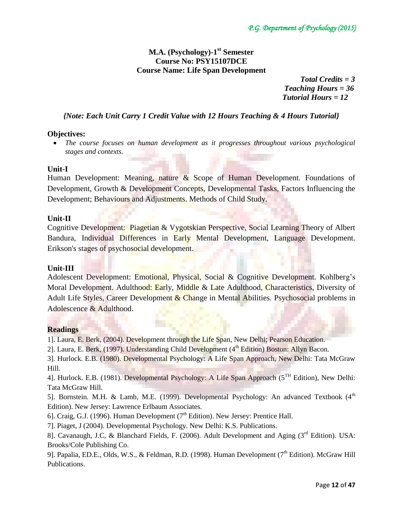# **M.A. (Psychology)-1 st Semester Course No: PSY15107DCE Course Name: Life Span Development**

 *Total Credits = 3 Teaching Hours = 36 Tutorial Hours = 12*

# *{Note: Each Unit Carry 1 Credit Value with 12 Hours Teaching & 4 Hours Tutorial}*

## **Objectives:**

 *The course focuses on human development as it progresses throughout various psychological stages and contexts.*

## **Unit-I**

Human Development: Meaning, nature  $\&$  Scope of Human Development. Foundations of Development, Growth & Development Concepts, Developmental Tasks, Factors Influencing the Development; Behaviours and Adjustments. Methods of Child Study.

## **Unit-II**

Cognitive Development: Piagetian & Vygotskian Perspective, Social Learning Theory of Albert Bandura, Individual Differences in Early Mental Development, Language Development. [Erikson's stages of psychosocial development.](http://en.wikipedia.org/wiki/Erikson%27s_stages_of_psychosocial_development)

## **Unit-III**

Adolescent Development: Emotional, Physical, Social & Cognitive Development. Kohlberg's Moral Development. Adulthood: Early, Middle & Late Adulthood, Characteristics, Diversity of Adult Life Styles, Career Development & Change in Mental Abilities. Psychosocial problems in Adolescence & Adulthood.

# **Readings**

1]. Laura, E. Berk, (2004). Development through the Life Span, New Delhi; Pearson Education.

2]. Laura, E. Berk, (1997). Understanding Child Development (4<sup>th</sup> Edition) Boston: Allyn Bacon.

3]. Hurlock. E.B. (1980). Developmental Psychology: A Life Span Approach, New Delhi: Tata McGraw Hill.

4]. Hurlock. E.B. (1981). Developmental Psychology: A Life Span Approach (5<sup>TH</sup> Edition), New Delhi: Tata McGraw Hill.

5]. Bornstein. M.H. & Lamb, M.E. (1999). Developmental Psychology: An advanced Textbook  $(4<sup>th</sup>$ Edition). New Jersey: Lawrence Erlbaum Associates.

6]. Craig, G.J. (1996). Human Development ( $7<sup>th</sup>$  Edition). New Jersey: Prentice Hall.

7]. Piaget, J (2004). Developmental Psychology. New Delhi: K.S. Publications.

8]. Cavanaugh, J.C, & Blanchard Fields, F. (2006). Adult Development and Aging (3<sup>rd</sup> Edition). USA: Brooks/Cole Publishing Co.

9]. Papalia, ED.E., Olds, W.S., & Feldman, R.D. (1998). Human Development (7<sup>th</sup> Edition). McGraw Hill Publications.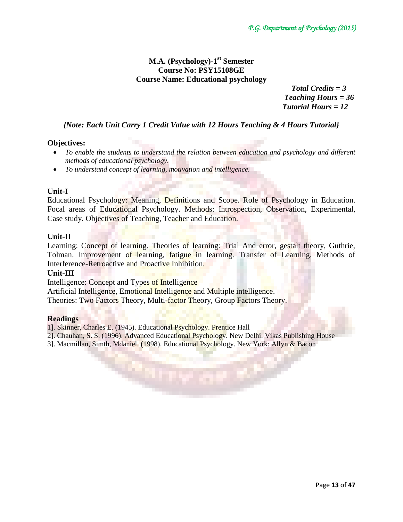# **M.A. (Psychology)-1 st Semester Course No: PSY15108GE Course Name: Educational psychology**

 *Total Credits = 3 Teaching Hours = 36 Tutorial Hours = 12*

# *{Note: Each Unit Carry 1 Credit Value with 12 Hours Teaching & 4 Hours Tutorial}*

# **Objectives:**

- To enable the students to understand the relation between education and psychology and different *methods of educational psychology.*
- *To understand concept of learning, motivation and intelligence.*

## **Unit-I**

Educational Psychology: Meaning, Definitions and Scope. Role of Psychology in Education. Focal areas of Educational Psychology. Methods: Introspection, Observation, Experimental, Case study. Objectives of Teaching, Teacher and Education.

## **Unit-II**

Learning: Concept of learning. Theories of learning: Trial And error, gestalt theory, Guthrie, Tolman. Improvement of learning, fatigue in learning. Transfer of Learning, Methods of Interference-Retroactive and Proactive Inhibition.

## **Unit-III**

Intelligence: Concept and Types of Intelligence

Artificial Intelligence, Emotional Intelligence and Multiple intelligence.

Theories: Two Factors Theory, Multi-factor Theory, Group Factors Theory.

## **Readings**

1]. Skinner, Charles E. (1945). Educational Psychology. Prentice Hall

2]. Chauhan, S. S. (1996). Advanced Educational Psychology. New Delhi: Vikas Publishing House

3]. Macmillan, Simth, Mdaniel. (1998). Educational Psychology. New York: Allyn & Bacon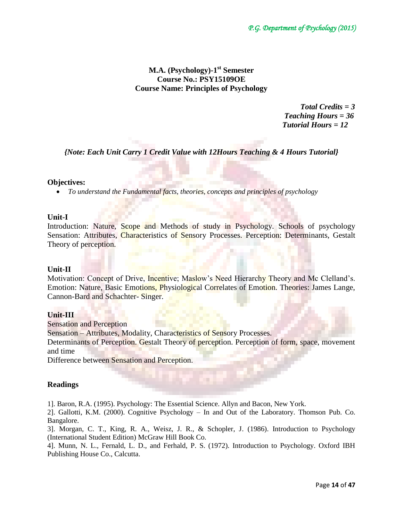# **M.A. (Psychology)-1 st Semester Course No.: PSY15109OE Course Name: Principles of Psychology**

 *Total Credits = 3 Teaching Hours = 36 Tutorial Hours = 12*

*{Note: Each Unit Carry 1 Credit Value with 12Hours Teaching & 4 Hours Tutorial}*

# **Objectives:**

*To understand the Fundamental facts, theories, concepts and principles of psychology*

# **Unit-I**

Introduction: Nature, Scope and Methods of study in Psychology. Schools of psychology Sensation: Attributes, Characteristics of Sensory Processes. Perception: Determinants, Gestalt Theory of perception.

## **Unit-II**

Motivation: Concept of Drive, Incentive; Maslow's Need Hierarchy Theory and Mc Clelland's. Emotion: Nature, Basic Emotions, Physiological Correlates of Emotion. Theories: James Lange, Cannon-Bard and Schachter- Singer.

## **Unit-III**

Sensation and Perception

Sensation – Attributes, Modality, Characteristics of Sensory Processes.

Determinants of Perception. Gestalt Theory of perception. Perception of form, space, movement and time

Difference between Sensation and Perception.

# **Readings**

1]. Baron, R.A. (1995). Psychology: The Essential Science. Allyn and Bacon, New York.

2]. Gallotti, K.M. (2000). Cognitive Psychology – In and Out of the Laboratory. Thomson Pub. Co. Bangalore.

3]. Morgan, C. T., King, R. A., Weisz, J. R., & Schopler, J. (1986). Introduction to Psychology (International Student Edition) McGraw Hill Book Co.

4]. Munn, N. L., Fernald, L. D., and Ferhald, P. S. (1972). Introduction to Psychology. Oxford IBH Publishing House Co., Calcutta.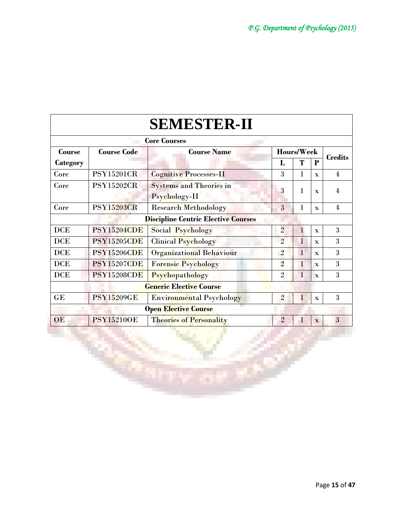|               |                    | <b>SEMESTER-II</b>                              |                |              |              |                |
|---------------|--------------------|-------------------------------------------------|----------------|--------------|--------------|----------------|
|               |                    | <b>Core Courses</b>                             |                |              |              |                |
| <b>Course</b> | <b>Course Code</b> | <b>Course Name</b>                              |                | Hours/Week   |              | <b>Credits</b> |
| Category      |                    |                                                 | L              | Т            | P            |                |
| Core          | <b>PSY15201CR</b>  | <b>Cognitive Processes-II</b>                   | 3              | 1            | $\mathbf{x}$ | $\overline{4}$ |
| Core          | <b>PSY15202CR</b>  | <b>Systems and Theories in</b><br>Psychology-II | 3              | 1            | $\mathbf{x}$ | 4              |
| Core          | <b>PSY15203CR</b>  | <b>Research Methodology</b>                     | 3              | 1            | $\mathbf{x}$ | $\overline{4}$ |
|               |                    | <b>Discipline Centric Elective Courses</b>      |                |              |              |                |
| <b>DCE</b>    | <b>PSY15204CDE</b> | Social Psychology                               | $\overline{2}$ | $\mathbf{1}$ | $\mathbf{x}$ | 3              |
| <b>DCE</b>    | <b>PSY15205CDE</b> | <b>Clinical Psychology</b>                      | $\overline{2}$ | T            | $\mathbf{x}$ | 3              |
| <b>DCE</b>    | <b>PSY15206CDE</b> | <b>Organizational Behaviour</b>                 | $\overline{2}$ | $\mathbf{1}$ | $\mathbf{x}$ | 3              |
| <b>DCE</b>    | <b>PSY15207CDE</b> | <b>Forensic Psychology</b>                      | $\overline{2}$ | $\bf{l}$     | $\mathbf x$  | 3              |
| <b>DCE</b>    | <b>PSY15208CDE</b> | Psychopathology                                 | $\overline{2}$ | $\mathbf{1}$ | $\mathbf x$  | 3              |
|               |                    | <b>Generic Elective Course</b>                  |                |              |              |                |
| GE            | <b>PSY15209GE</b>  | <b>Environmental Psychology</b>                 | $\overline{2}$ | 1            | $\mathbf{x}$ | 3              |
|               |                    | <b>Open Elective Course</b>                     |                |              |              |                |
| OE            | <b>PSY152100E</b>  | <b>Theories of Personality</b>                  | $\overline{2}$ | 1            | $\mathbf{x}$ | 3              |

×

تتباية

Г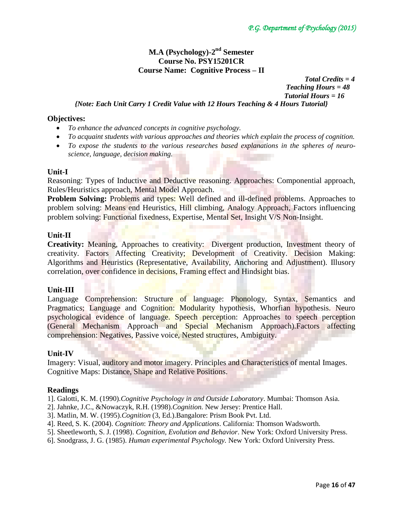# **M.A (Psychology)-2 nd Semester Course No. PSY15201CR Course Name: Cognitive Process – II**

 *Total Credits = 4 Teaching Hours = 48 Tutorial Hours = 16*

*{Note: Each Unit Carry 1 Credit Value with 12 Hours Teaching & 4 Hours Tutorial}*

#### **Objectives:**

- *To enhance the advanced concepts in cognitive psychology.*
- *To acquaint students with various approaches and theories which explain the process of cognition.*
- *To expose the students to the various researches based explanations in the spheres of neuroscience, language, decision making.*

#### **Unit-I**

Reasoning: Types of Inductive and Deductive reasoning. Approaches: Componential approach, Rules/Heuristics approach, Mental Model Approach.

**Problem Solving:** Problems and types: Well defined and ill-defined problems. Approaches to problem solving: Means end Heuristics, Hill climbing, Analogy Approach, Factors influencing problem solving: Functional fixedness, Expertise, Mental Set, Insight V/S Non-Insight.

## **Unit-II**

**Creativity:** Meaning, Approaches to creativity: Divergent production, Investment theory of creativity. Factors Affecting Creativity; Development of Creativity. Decision Making: Algorithms and Heuristics (Representative, Availability, Anchoring and Adjustment). Illusory correlation, over confidence in decisions, Framing effect and Hindsight bias.

## **Unit-III**

Language Comprehension: Structure of language: Phonology, Syntax, Semantics and Pragmatics; Language and Cognition: Modularity hypothesis, Whorfian hypothesis. Neuro psychological evidence of language. Speech perception: Approaches to speech perception (General Mechanism Approach and Special Mechanism Approach).Factors affecting comprehension: Negatives, Passive voice, Nested structures, Ambiguity.

## **Unit-IV**

Imagery: Visual, auditory and motor imagery. Principles and Characteristics of mental Images. Cognitive Maps: Distance, Shape and Relative Positions.

## **Readings**

- 1]. Galotti, K. M. (1990).*Cognitive Psychology in and Outside Laboratory*. Mumbai: Thomson Asia.
- 2]. Jahnke, J.C., &Nowaczyk, R.H. (1998).*Cognition.* New Jersey: Prentice Hall.
- 3]. Matlin, M. W. (1995).*Cognition* (3, Ed.).Bangalore: Prism Book Pvt. Ltd.
- 4]. Reed, S. K. (2004). *Cognition*: *Theory and Applications*. California: Thomson Wadsworth.
- 5]. Sheetleworth, S. J. (1998). *Cognition, Evolution and Behavior*. New York: Oxford University Press.
- 6]. Snodgrass, J. G. (1985). *Human experimental Psychology.* New York: Oxford University Press.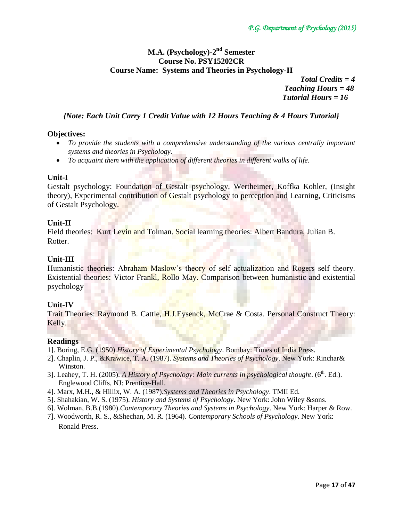# **M.A. (Psychology)-2 nd Semester Course No. PSY15202CR Course Name: Systems and Theories in Psychology-II**

 *Total Credits = 4 Teaching Hours = 48 Tutorial Hours = 16*

# *{Note: Each Unit Carry 1 Credit Value with 12 Hours Teaching & 4 Hours Tutorial}*

## **Objectives:**

- *To provide the students with a comprehensive understanding of the various centrally important systems and theories in Psychology.*
- *To acquaint them with the application of different theories in different walks of life.*

## **Unit-I**

Gestalt psychology: Foundation of Gestalt psychology, Wertheimer, Koffka Kohler, (Insight theory), Experimental contribution of Gestalt psychology to perception and Learning, Criticisms of Gestalt Psychology.

## **Unit-II**

Field theories: Kurt Levin and Tolman. Social learning theories: Albert Bandura, Julian B. Rotter.

## **Unit-III**

Humanistic theories: Abraham Maslow's theory of self actualization and Rogers self theory. Existential theories: Victor Frankl, Rollo May. Comparison between humanistic and existential psychology

# **Unit-IV**

Trait Theories: Raymond B. Cattle, H.J.Eysenck, McCrae & Costa. Personal Construct Theory: Kelly.

## **Readings**

- 1]. Boring, E.G. (1950).*History of Experimental Psychology*. Bombay: Times of India Press.
- 2]. Chaplin, J. P., &Krawice, T. A. (1987). *Systems and Theories of Psychology*. New York: Rinchar& Winston.
- 3]. Leahey, T. H. (2005). A History of Psychology: Main currents in psychological thought. (6<sup>th</sup>. Ed.). Englewood Cliffs, NJ: Prentice-Hall.
- 4]. Marx, M.H., & Hillix, W. A. (1987).*Systems and Theories in Psychology*. TMII Ed.
- 5]. Shahakian, W. S. (1975). *History and Systems of Psychology*. New York: John Wiley &sons.
- 6]. Wolman, B.B.(1980).*Contemporary Theories and Systems in Psychology*. New York: Harper & Row.
- 7]. Woodworth, R. S., &Shechan, M. R. (1964). *Contemporary Schools of Psychology*. New York: Ronald Press.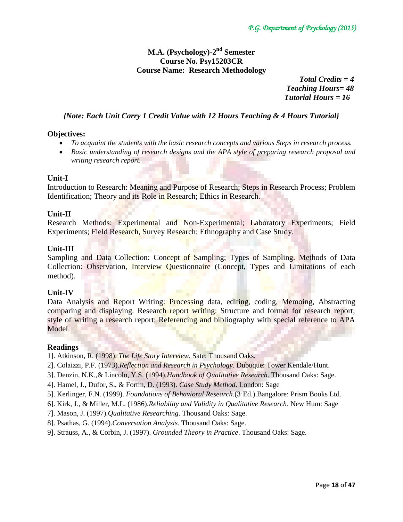# **M.A. (Psychology)-2 nd Semester Course No. Psy15203CR Course Name: Research Methodology**

 *Total Credits = 4 Teaching Hours= 48 Tutorial Hours = 16*

## *{Note: Each Unit Carry 1 Credit Value with 12 Hours Teaching & 4 Hours Tutorial}*

#### **Objectives:**

- *To acquaint the students with the basic research concepts and various Steps in research process.*
- *Basic understanding of research designs and the APA style of preparing research proposal and writing research report.*

#### **Unit-I**

Introduction to Research: Meaning and Purpose of Research; Steps in Research Process; Problem Identification; Theory and its Role in Research; Ethics in Research.

## **Unit-II**

Research Methods: Experimental and Non-Experimental; Laboratory Experiments; Field Experiments; Field Research, Survey Research; Ethnography and Case Study.

#### **Unit-III**

Sampling and Data Collection: Concept of Sampling; Types of Sampling. Methods of Data Collection: Observation, Interview Questionnaire (Concept, Types and Limitations of each method).

#### **Unit-IV**

Data Analysis and Report Writing: Processing data, editing, coding, Memoing, Abstracting comparing and displaying. Research report writing: Structure and format for research report; style of writing a research report; Referencing and bibliography with special reference to APA Model.

#### **Readings**

1]. Atkinson, R. (1998). *The Life Story Interview.* Sate: Thousand Oaks.

- 2]. Colaizzi, P.F. (1973).*Reflection and Research in Psychology*. Dubuque: Tower Kendale/Hunt.
- 3]. Denzin, N.K.,& Lincoln, Y.S. (1994).*Handbook of Qualitative Research*. Thousand Oaks: Sage.
- 4]. Hamel, J., Dufor, S., & Fortin, D. (1993). *Case Study Method*. London: Sage
- 5]. Kerlinger, F.N. (1999). *Foundations of Behavioral Research*.(3, Ed.).Bangalore: Prism Books Ltd.
- 6]. Kirk, J., & Miller, M.L. (1986).*Reliability and Validity in Qualitative Research*. New Hum: Sage
- 7]. Mason, J. (1997).*Qualitative Researching*. Thousand Oaks: Sage.
- 8]. Psathas, G. (1994).*Conversation Analysis*. Thousand Oaks: Sage.
- 9]. Strauss, A., & Corbin, J. (1997). *Grounded Theory in Practice*. Thousand Oaks: Sage.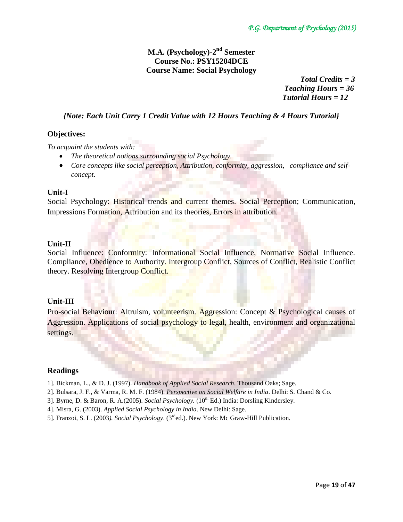# **M.A. (Psychology)-2 nd Semester Course No.: PSY15204DCE Course Name: Social Psychology**

 *Total Credits = 3 Teaching Hours = 36 Tutorial Hours = 12*

# *{Note: Each Unit Carry 1 Credit Value with 12 Hours Teaching & 4 Hours Tutorial}*

# **Objectives:**

*To acquaint the students with:* 

- *The theoretical notions surrounding social Psychology.*
- *Core concepts like social perception, Attribution, conformity, aggression, compliance and selfconcept*.

## **Unit-I**

Social Psychology: Historical trends and current themes. Social Perception; Communication, Impressions Formation, Attribution and its theories, Errors in attribution.

## **Unit-II**

Social Influence: Conformity: Informational Social Influence, Normative Social Influence. Compliance, Obedience to Authority. Intergroup Conflict, Sources of Conflict, Realistic Conflict theory. Resolving Intergroup Conflict.

## **Unit-III**

Pro-social Behaviour: Altruism, volunteerism. Aggression: Concept & Psychological causes of Aggression. Applications of social psychology to legal, health, environment and organizational settings.

## **Readings**

- 1]. Bickman, L., & D. J. (1997). *Handbook of Applied Social Research*. Thousand Oaks; Sage.
- 2]. Bulsara, J. F., & Varma, R. M. F. (1984). *Perspective on Social Welfare in India*. Delhi: S. Chand & Co.
- 3]. Byrne, D. & Baron, R. A.(2005). *Social Psychology.* (10<sup>th</sup> Ed.) India: Dorsling Kindersley.
- 4]. Misra, G. (2003). *Applied Social Psychology in India*. New Delhi: Sage.
- 5]. Franzoi, S. L. (2003*). Social Psychology*. (3rded.). New York: Mc Graw-Hill Publication.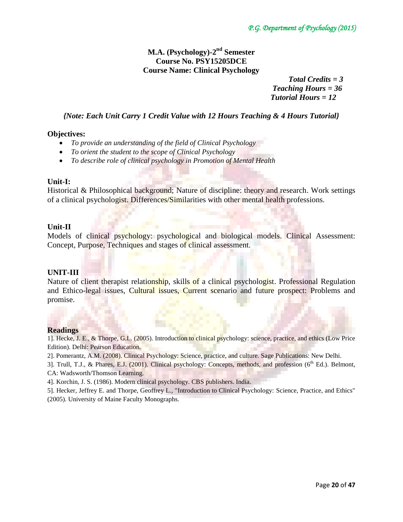# **M.A. (Psychology)-2 nd Semester Course No. PSY15205DCE Course Name: Clinical Psychology**

 *Total Credits = 3 Teaching Hours = 36 Tutorial Hours = 12*

# *{Note: Each Unit Carry 1 Credit Value with 12 Hours Teaching & 4 Hours Tutorial}*

#### **Objectives:**

- *To provide an understanding of the field of Clinical Psychology*
- *To orient the student to the scope of Clinical Psychology*
- *To describe role of clinical psychology in Promotion of Mental Health*

#### **Unit-I:**

Historical & Philosophical background; Nature of discipline: theory and research. Work settings of a clinical psychologist. Differences/Similarities with other mental health professions.

## **Unit-II**

Models of clinical psychology: psychological and biological models. Clinical Assessment: Concept, Purpose, Techniques and stages of clinical assessment.

## **UNIT-III**

Nature of client therapist relationship, skills of a clinical psychologist. Professional Regulation and Ethico-legal issues, Cultural issues, Current scenario and future prospect: Problems and promise.

## **Readings**

1]. Hecke, J. E., & Thorpe, G.L. (2005). Introduction to clinical psychology: science, practice, and ethics (Low Price Edition). Delhi: Pearson Education.

2]. Pomerantz, A.M. (2008). Clinical Psychology: Science, practice, and culture. Sage Publications: New Delhi.

3]. Trull, T.J., & Phares, E.J. (2001). Clinical psychology: Concepts, methods, and profession (6<sup>th</sup> Ed.). Belmont, CA: Wadsworth/Thomson Learning.

4]. Korchin, J. S. (1986). Modern clinical psychology. CBS publishers. India.

5]. Hecker, Jeffrey E. and Thorpe, Geoffrey L., "Introduction to Clinical Psychology: Science, Practice, and Ethics" (2005). University of Maine Faculty Monographs.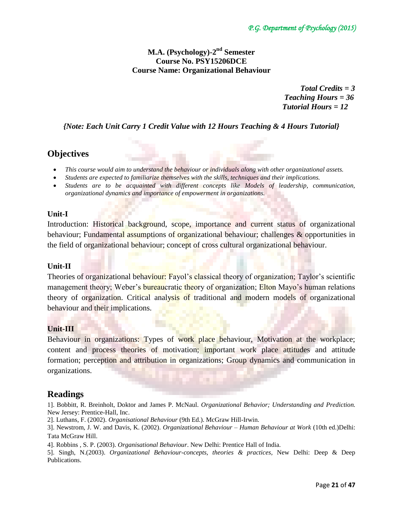# **M.A. (Psychology)-2 nd Semester Course No. PSY15206DCE Course Name: Organizational Behaviour**

 *Total Credits = 3 Teaching Hours = 36 Tutorial Hours = 12*

*{Note: Each Unit Carry 1 Credit Value with 12 Hours Teaching & 4 Hours Tutorial}*

# **Objectives**

- *This course would aim to understand the behaviour or individuals along with other organizational assets.*
- *Students are expected to familiarize themselves with the skills, techniques and their implications.*
- *Students are to be acquainted with different concepts like Models of leadership, communication, organizational dynamics and importance of empowerment in organizations.*

# **Unit-I**

Introduction: Historical background, scope, importance and current status of organizational behaviour; Fundamental assumptions of organizational behaviour; challenges & opportunities in the field of organizational behaviour; concept of cross cultural organizational behaviour.

# **Unit-II**

Theories of organizational behaviour: Fayol's classical theory of organization; Taylor's scientific management theory; Weber's **bureau**cratic theory of organization; Elton Mayo's human relations theory of organization. Critical analysis of traditional and modern models of organizational behaviour and their implications.

# **Unit-III**

Behaviour in organizations: Types of work place behaviour, Motivation at the workplace; content and process theories of motivation; important work place attitudes and attitude formation; perception and attribution in organizations; Group dynamics and communication in organizations.

# **Readings**

1]. Bobbitt, R. Breinholt, Doktor and James P. McNaul. *Organizational Behavior; Understanding and Prediction.* New Jersey: Prentice-Hall, Inc.

2]. Luthans, F. (2002). *Organisational Behaviour* (9th Ed.). McGraw Hill-Irwin.

3]. Newstrom, J. W. and Davis, K. (2002). *Organizational Behaviour – Human Behaviour at Work* (10th ed.)Delhi: Tata McGraw Hill.

4]. Robbins , S. P. (2003). *Organisational Behaviour*. New Delhi: Prentice Hall of India.

5]. Singh, N.(2003). *Organizational Behaviour-concepts, theories & practices,* New Delhi: Deep & Deep Publications.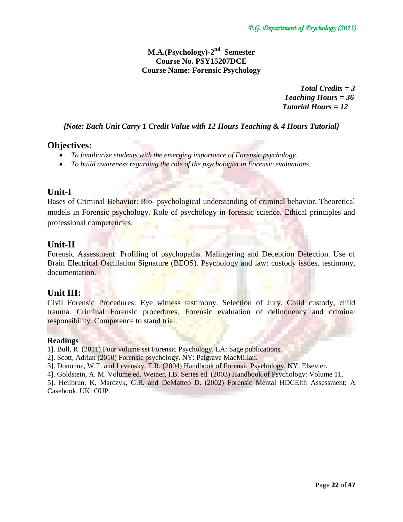# **M.A.(Psychology)-2 nd Semester Course No. PSY15207DCE Course Name: Forensic Psychology**

 *Total Credits = 3 Teaching Hours = 36 Tutorial Hours = 12*

*{Note: Each Unit Carry 1 Credit Value with 12 Hours Teaching & 4 Hours Tutorial}*

# **Objectives:**

- *To familiarize students with the emerging importance of Forensic psychology.*
- *To build awareness regarding the role of the psychologist in Forensic evaluations.*

# **Unit-I**

Bases of Criminal Behavior: Bio- psychological understanding of criminal behavior. Theoretical models in Forensic psychology. Role of psychology in forensic science. Ethical principles and professional competencies.

# **Unit-II**

Forensic Assessment: Profiling of psychopaths. Malingering and Deception Detection. Use of Brain Electrical Oscillation Signature (BEOS). Psychology and law: custody issues, testimony, documentation.

# **Unit III:**

Civil Forensic Procedures: Eye witness testimony. Selection of Jury. Child custody, child trauma. Criminal Forensic procedures. Forensic evaluation of delinquency and criminal responsibility. Competence to stand trial.

# **Readings**

1]. Bull, R. (2011) Four volume set Forensic Psychology. LA: Sage publications.

- 2]. Scott, Adrian (2010) Forensic psychology. NY: Palgrave MacMillan.
- 3]. Donohue, W.T. and Levensky, T.R. (2004) Handbook of Forensic Psychology. NY: Elsevier.
- 4]. Goldstein, A. M. Volume ed. Weiner, I.B. Series ed. (2003) Handbook of Psychology: Volume 11.

5]. Heilbrun, K, Marczyk, G.R. and DeMatteo D. (2002) Forensic Mental HDCElth Assessment: A Casebook. UK: OUP.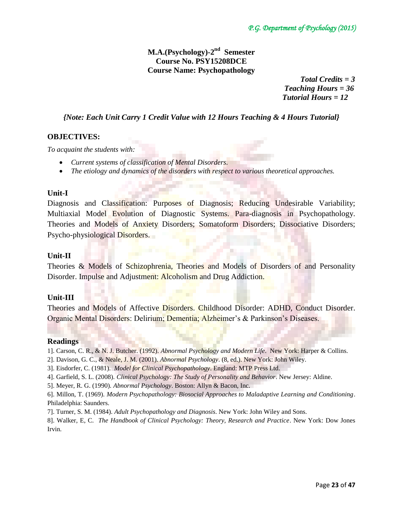# **M.A.(Psychology)-2 nd Semester Course No. PSY15208DCE Course Name: Psychopathology**

 *Total Credits = 3 Teaching Hours = 36 Tutorial Hours = 12*

# *{Note: Each Unit Carry 1 Credit Value with 12 Hours Teaching & 4 Hours Tutorial}*

## **OBJECTIVES:**

*To acquaint the students with:* 

- *Current systems of classification of Mental Disorders.*
- *The etiology and dynamics of the disorders with respect to various theoretical approaches.*

## **Unit-I**

Diagnosis and Classification: Purposes of Diagnosis; Reducing Undesirable Variability; Multiaxial Model Evolution of Diagnostic Systems. Para-diagnosis in Psychopathology. Theories and Models of Anxiety Disorders; Somatoform Disorders; Dissociative Disorders; Psycho-physiological Disorders.

## **Unit-II**

Theories & Models of Schizophrenia, Theories and Models of Disorders of and Personality Disorder. Impulse and Adjustment: Alcoholism and Drug Addiction.

## **Unit-III**

Theories and Models of Affective Disorders. Childhood Disorder: ADHD, Conduct Disorder. Organic Mental Disorders: Delirium; Dementia; Alzheimer's & Parkinson's Diseases.

#### **Readings**

- 1]. Carson, C. R., & N. J. Butcher. (1992). *Abnormal Psychology and Modern Life*. New York: Harper & Collins.
- 2]. Davison, G. C., & Neale, J. M. (2001). *Abnormal Psychology*. (8, ed.). New York: John Wiley.
- 3]. Eisdorfer, C. (1981). *Model for Clinical Psychopathology*. England: MTP Press Ltd.
- 4]. Garfield, S. L. (2008). *Clinical Psychology: The Study of Personality and Behavior*. New Jersey: Aldine.
- 5]. Meyer, R. G. (1990). *Abnormal Psychology*. Boston: Allyn & Bacon, Inc.
- 6]. Millon, T. (1969). *Modern Psychopathology: Biosocial Approaches to Maladaptive Learning and Conditioning*. Philadelphia: Saunders.
- 7]. Turner, S. M. (1984). *Adult Psychopathology and Diagnosis*. New York: John Wiley and Sons.
- 8]. Walker, E, C. *The Handbook of Clinical Psychology: Theory, Research and Practice*. New York: Dow Jones Irvin.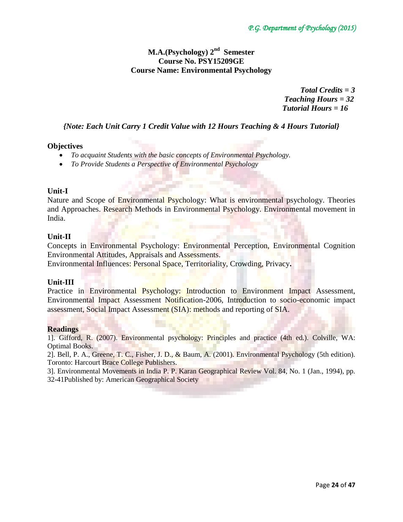# **M.A.(Psychology) 2 nd Semester Course No. PSY15209GE Course Name: Environmental Psychology**

 *Total Credits = 3 Teaching Hours = 32 Tutorial Hours = 16*

# *{Note: Each Unit Carry 1 Credit Value with 12 Hours Teaching & 4 Hours Tutorial}*

# **Objectives**

- *To acquaint Students with the basic concepts of Environmental Psychology.*
- *To Provide Students a Perspective of Environmental Psychology*

## **Unit-I**

Nature and Scope of Environmental Psychology: What is environmental psychology. Theories and Approaches. Research Methods in Environmental Psychology. Environmental movement in India.

## **Unit-II**

Concepts in Environmental Psychology: Environmental Perception, Environmental Cognition Environmental Attitudes, Appraisals and Assessments.

Environmental Influences: Personal Space, Territoriality, Crowding, Privacy**.**

## **Unit-III**

Practice in Environmental Psychology: Introduction to Environment Impact Assessment, Environmental Impact Assessment Notification-2006, Introduction to socio-economic impact assessment, Social Impact Assessment (SIA): methods and reporting of SIA.

# **Readings**

1]. Gifford, R. (2007). Environmental psychology: Principles and practice (4th ed.). Colville, WA: Optimal Books.

2]. Bell, P. A., Greene, T. C., Fisher, J. D., & Baum, A. (2001). Environmental Psychology (5th edition). Toronto: Harcourt Brace College Publishers.

3]. Environmental Movements in India P. P. Karan Geographical Review Vol. 84, No. 1 (Jan., 1994), pp. 32-41Published by: American Geographical Society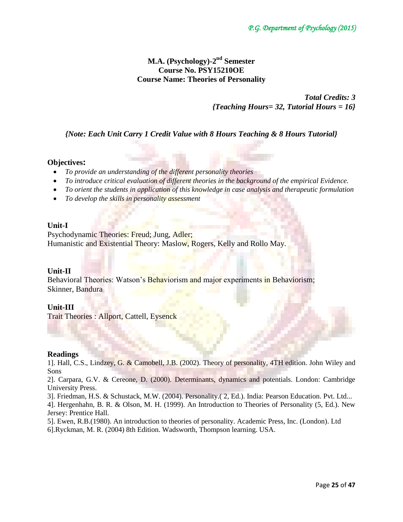# **M.A. (Psychology)-2 nd Semester Course No. PSY15210OE Course Name: Theories of Personality**

*Total Credits: 3 {Teaching Hours= 32, Tutorial Hours = 16}*

*{Note: Each Unit Carry 1 Credit Value with 8 Hours Teaching & 8 Hours Tutorial}*

## **Objectives:**

- *To provide an understanding of the different personality theories*
- *To introduce critical evaluation of different theories in the background of the empirical Evidence.*
- *To orient the students in application of this knowledge in case analysis and therapeutic formulation*
- *To develop the skills in personality assessment*

## **Unit-I**

Psychodynamic Theories: Freud; Jung, Adler; Humanistic and Existential Theory: Maslow, Rogers, Kelly and Rollo May.

# **Unit-II**

Behavioral Theories: Watson's Behaviorism and major experiments in Behaviorism; Skinner, Bandura

## **Unit-III**

Trait Theories : Allport, Cattell, Eysenck

## **Readings**

1]. Hall, C.S., Lindzey, G. & Camobell, J.B. (2002). Theory of personality, 4TH edition. John Wiley and Sons

2]. Carpara, G.V. & Cereone, D. (2000). Determinants, dynamics and potentials. London: Cambridge University Press.

3]. Friedman, H.S. & Schustack, M.W. (2004). Personality.( 2, Ed.). India: Pearson Education. Pvt. Ltd...

4]. Hergenhahn, B. R. & Olson, M. H. (1999). An Introduction to Theories of Personality (5, Ed.). New Jersey: Prentice Hall.

5]. Ewen, R.B.(1980). An introduction to theories of personality. Academic Press, Inc. (London). Ltd

6].Ryckman, M. R. (2004) 8th Edition. Wadsworth, Thompson learning. USA.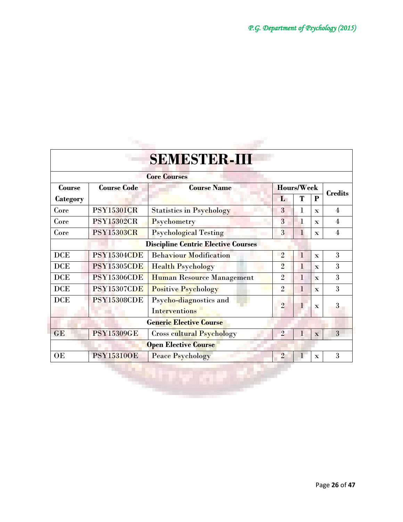| Course<br>Category                         | <b>Course Code</b> | <b>Core Courses</b>                            |                |              |                         |                |  |
|--------------------------------------------|--------------------|------------------------------------------------|----------------|--------------|-------------------------|----------------|--|
|                                            |                    |                                                |                |              |                         |                |  |
|                                            |                    | <b>Course Name</b>                             | Hours/Week     |              |                         |                |  |
|                                            |                    |                                                | L              | T            | P                       | <b>Credits</b> |  |
| Core                                       | <b>PSY15301CR</b>  | <b>Statistics in Psychology</b>                | 3              | 1            | $\mathbf{x}$            | 4              |  |
| Core                                       | <b>PSY15302CR</b>  | Psychometry                                    | 3              | $\bf{l}$     | $\mathbf{x}$            | 4              |  |
| Core                                       | <b>PSY15303CR</b>  | <b>Psychological Testing</b>                   | 3              | $\mathbf{1}$ | $\mathbf{x}$            | 4              |  |
| <b>Discipline Centric Elective Courses</b> |                    |                                                |                |              |                         |                |  |
| <b>DCE</b>                                 | <b>PSY15304CDE</b> | <b>Behaviour Modification</b>                  | $\overline{2}$ | $\mathbf{1}$ | $\mathbf{x}$            | 3              |  |
| <b>DCE</b>                                 | <b>PSY15305CDE</b> | <b>Health Psychology</b>                       | $\overline{2}$ | $\mathbf{1}$ | $\mathbf{x}$            | 3              |  |
| <b>DCE</b>                                 | <b>PSY15306CDE</b> | Human Resource Management                      | $\overline{2}$ | 1            | $\mathbf{x}$            | 3              |  |
| <b>DCE</b>                                 | <b>PSY15307CDE</b> | <b>Positive Psychology</b>                     | $\overline{2}$ | 1            | $\overline{\mathbf{x}}$ | 3              |  |
| <b>DCE</b>                                 | <b>PSY15308CDE</b> | Psycho-diagnostics and<br><b>Interventions</b> | $\overline{2}$ | L            | $\mathbf x$             | 3              |  |
|                                            |                    | <b>Generic Elective Course</b>                 |                |              |                         |                |  |
| GE                                         | <b>PSY15309GE</b>  | <b>Cross cultural Psychology</b>               | $\overline{2}$ | $\mathbf{1}$ | $\mathbf{x}$            | 3              |  |
|                                            |                    | <b>Open Elective Course</b>                    |                |              |                         |                |  |
| OE                                         | <b>PSY15310OE</b>  | <b>Peace Psychology</b>                        | $\overline{2}$ | $\bf{l}$     | $\mathbf x$             | 3              |  |

l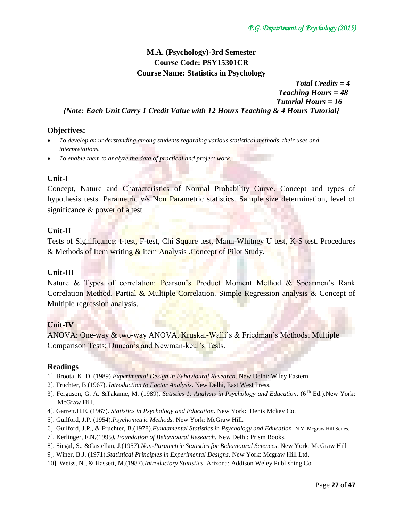*Total Credits = 4*

# **M.A. (Psychology)-3rd Semester Course Code: PSY15301CR Course Name: Statistics in Psychology**

 *Teaching Hours = 48 Tutorial Hours = 16 {Note: Each Unit Carry 1 Credit Value with 12 Hours Teaching & 4 Hours Tutorial}*

## **Objectives:**

- *To develop an understanding among students regarding various statistical methods, their uses and interpretations.*
- *To enable them to analyze the data of practical and project work.*

## **Unit-I**

Concept, Nature and Characteristics of Normal Probability Curve. Concept and types of hypothesis tests. Parametric v/s Non Parametric statistics. Sample size determination, level of significance  $&$  power of a test.

## **Unit-II**

Tests of Significance: t-test, F-test, Chi Square test, Mann-Whitney U test, K-S test. Procedures & Methods of Item writing  $\&$  item Analysis . Concept of Pilot Study.

## **Unit-III**

Nature & Types of correlation: Pearson's Product Moment Method & Spearmen's Rank Correlation Method. Partial & Multiple Correlation. Simple Regression analysis & Concept of Multiple regression analysis.

# **Unit-IV**

ANOVA: One-way & two-way ANOVA, Kruskal-Walli's & Friedman's Methods; Multiple Comparison Tests: Duncan's and Newman-keul's Tests.

## **Readings**

- 1]. Broota, K. D. (1989).*Experimental Design in Behavioural Research*. New Delhi: Wiley Eastern.
- 2]. Fruchter, B.(1967). *Introduction to Factor Analysis*. New Delhi, East West Press.
- 3]. Ferguson, G. A. &Takame, M. (1989). *Satistics 1: Analysis in Psychology and Education*. (6Th Ed.).New York: McGraw Hill.
- 4]. Garrett.H.E. (1967). *Statistics in Psychology and Education*. New York: Denis Mckey Co.
- 5]. Guilford, J.P. (1954).*Psychometric Methods.* New York: McGraw Hill.
- 6]. Guilford, J.P., & Fruchter, B.(1978).*Fundamental Statistics in Psychology and Education*. N Y: Mcgraw Hill Series.
- 7]. Kerlinger, F.N.(1995*). Foundation of Behavioural Research*. New Delhi: Prism Books.
- 8]. Siegal, S., [&Castellan,](http://www.google.co.in/search?tbo=p&tbm=bks&q=inauthor:%22N.+John+Castellan%22) J.(1957).*Non-Parametric Statistics for Behavioural Sciences*. New York: McGraw Hill
- 9]. Winer, B.J. (1971).*Statistical Principles in Experimental Designs*. New York: Mcgraw Hill Ltd.
- 10]. Weiss, N., & Hassett, M.(1987).*Introductory Statistics*. Arizona: Addison Weley Publishing Co.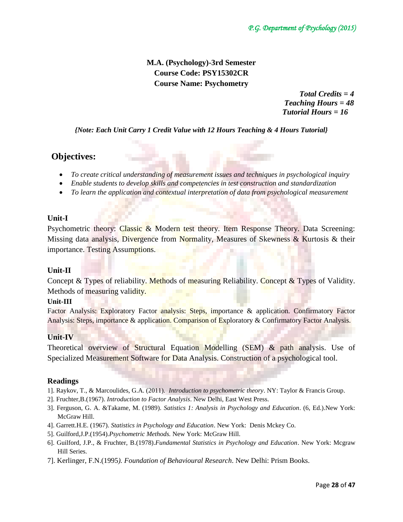# **M.A. (Psychology)-3rd Semester Course Code: PSY15302CR Course Name: Psychometry**

 *Total Credits = 4 Teaching Hours = 48 Tutorial Hours = 16*

*{Note: Each Unit Carry 1 Credit Value with 12 Hours Teaching & 4 Hours Tutorial}*

# **Objectives:**

- *To create critical understanding of measurement issues and techniques in psychological inquiry*
- *Enable students to develop skills and competencies in test construction and standardization*
- *To learn the application and contextual interpretation of data from psychological measurement*

# **Unit-I**

Psychometric theory: Classic & Modern test theory. Item Response Theory. Data Screening: Missing data analysis, Divergence from Normality, Measures of Skewness & Kurtosis & their importance. Testing Assumptions.

# **Unit-II**

Concept & Types of reliability. Methods of measuring Reliability. Concept & Types of Validity. Methods of measuring validity.

# **Unit-III**

Factor Analysis: Exploratory Factor analysis: Steps, importance & application. Confirmatory Factor Analysis: Steps, importance & application. Comparison of Exploratory & Confirmatory Factor Analysis.

# **Unit-IV**

Theoretical overview of Structural Equation Modelling (SEM) & path analysis. Use of Specialized Measurement Software for Data Analysis. Construction of a psychological tool.

# **Readings**

- 1]. Raykov, T., & Marcoulides, G.A. (2011). *Introduction to psychometric theory*. NY: Taylor & Francis Group.
- 2]. Fruchter,B.(1967). *Introduction to Factor Analysis*. New Delhi, East West Press.
- 3]. Ferguson, G. A. &Takame, M. (1989). *Satistics 1: Analysis in Psychology and Education*. (6, Ed.).New York: McGraw Hill.
- 4]. Garrett.H.E. (1967). *Statistics in Psychology and Education*. New York: Denis Mckey Co.
- 5]. Guilford,J.P.(1954).*Psychometric Methods.* New York: McGraw Hill.
- 6]. Guilford, J.P., & Fruchter, B.(1978).*Fundamental Statistics in Psychology and Education*. New York: Mcgraw Hill Series.
- 7]. Kerlinger, F.N.(1995*). Foundation of Behavioural Research*. New Delhi: Prism Books.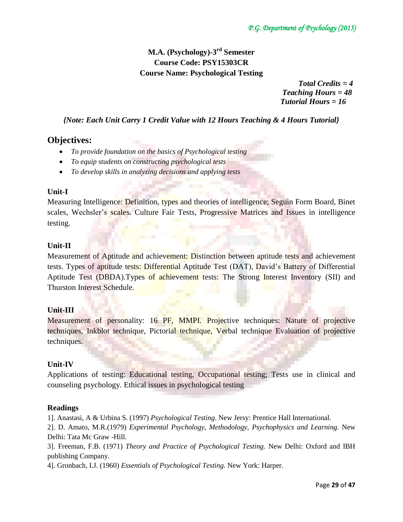# **M.A. (Psychology)-3 rd Semester Course Code: PSY15303CR Course Name: Psychological Testing**

 *Total Credits = 4 Teaching Hours = 48 Tutorial Hours = 16*

*{Note: Each Unit Carry 1 Credit Value with 12 Hours Teaching & 4 Hours Tutorial}*

# **Objectives:**

- *To provide foundation on the basics of Psychological testing*
- *To equip students on constructing psychological tests*
- *To develop skills in analyzing decisions and applying tests*

# **Unit-I**

Measuring Intelligence: Definition, types and theories of intelligence; Seguin Form Board, Binet scales, Wechsler's scales. Culture Fair Tests, Progressive Matrices and Issues in intelligence testing.

# **Unit-II**

Measurement of Aptitude and achievement: Distinction between aptitude tests and achievement tests. Types of aptitude tests: Differential Aptitude Test (DAT), David's Battery of Differential Aptitude Test (DBDA).Types of achievement tests: The Strong Interest Inventory (SII) and Thurston Interest Schedule.

# **Unit-III**

Measurement of personality: 16 PF, MMPI. Projective techniques: Nature of projective techniques, Inkblot technique, Pictorial technique, Verbal technique Evaluation of projective techniques.

# **Unit-IV**

Applications of testing: Educational testing, Occupational testing; Tests use in clinical and counseling psychology. Ethical issues in psychological testing

# **Readings**

1]. Anastasi, A & Urbina S. (1997) *Psychological Testing*. New Jersy: Prentice Hall International.

2]. D. Amato, M.R.(1979) *Experimental Psychology, Methodology, Psychophysics and Learning.* New Delhi: Tata Mc Graw -Hill.

3]. Freeman, F.B. (1971) *Theory and Practice of Psychological Testing.* New Delhi: Oxford and IBH publishing Company.

4]. Gronbach, I.J. (1960) *Essentials of Psychological Testing.* New York: Harper.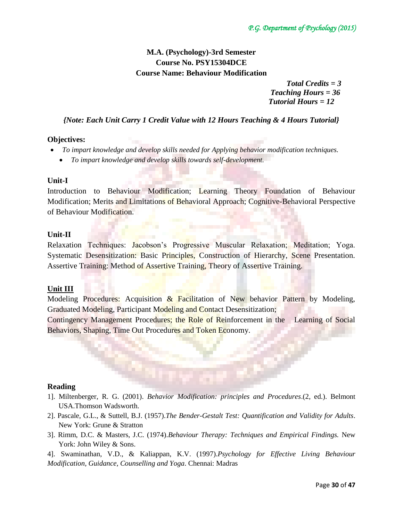# **M.A. (Psychology)-3rd Semester Course No. PSY15304DCE Course Name: Behaviour Modification**

 *Total Credits = 3 Teaching Hours = 36 Tutorial Hours = 12*

*{Note: Each Unit Carry 1 Credit Value with 12 Hours Teaching & 4 Hours Tutorial}*

## **Objectives:**

- *To impart knowledge and develop skills needed for Applying behavior modification techniques.*
	- *To impart knowledge and develop skills towards self-development.*

## **Unit-I**

Introduction to Behaviour Modification; Learning Theory Foundation of Behaviour Modification; Merits and Limitations of Behavioral Approach; Cognitive-Behavioral Perspective of Behaviour Modification.

## **Unit-II**

Relaxation Techniques: Jacobson's Progressive Muscular Relaxation; Meditation; Yoga. Systematic Desensitization: Basic Principles, Construction of Hierarchy, Scene Presentation. Assertive Training: Method of Assertive Training, Theory of Assertive Training.

# **Unit III**

Modeling Procedures: Acquisition & Facilitation of New behavior Pattern by Modeling, Graduated Modeling, Participant Modeling and Contact Desensitization; Contingency Management Procedures; the Role of Reinforcement in the Learning of Social Behaviors, Shaping, Time Out Procedures and Token Economy.

## **Reading**

- 1]. Miltenberger, R. G. (2001). *Behavior Modification: principles and Procedures*.(2, ed.). Belmont USA.Thomson Wadsworth.
- 2]. Pascale, G.L., & Suttell, B.J. (1957).*The Bender-Gestalt Test: Quantification and Validity for Adults*. New York: Grune & Stratton
- 3]. Rimm, D.C. & Masters, J.C. (1974).*Behaviour Therapy: Techniques and Empirical Findings.* New York: John Wiley & Sons.

4]. Swaminathan, V.D., & Kaliappan, K.V. (1997).*Psychology for Effective Living Behaviour Modification, Guidance, Counselling and Yoga*. Chennai: Madras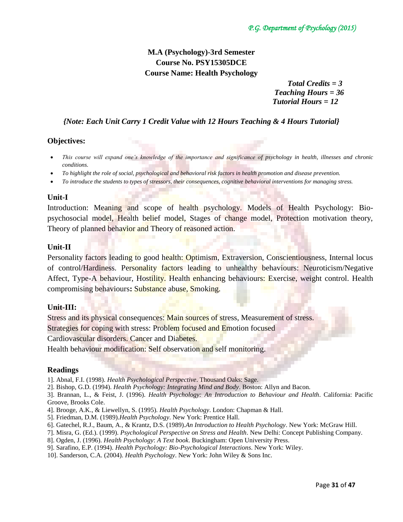# **M.A (Psychology)-3rd Semester Course No. PSY15305DCE Course Name: Health Psychology**

 *Total Credits = 3 Teaching Hours = 36 Tutorial Hours = 12*

# *{Note: Each Unit Carry 1 Credit Value with 12 Hours Teaching & 4 Hours Tutorial}*

# **Objectives:**

- *This course will expand one's knowledge of the importance and significance of psychology in health, illnesses and chronic conditions.*
- *To highlight the role of social, psychological and behavioral risk factors in health promotion and disease prevention.*
- *To introduce the students to types of stressors, their consequences, cognitive behavioral interventions for managing stress.*

## **Unit-I**

Introduction: Meaning and scope of health psychology. Models of Health Psychology: Biopsychosocial model, Health belief model, Stages of change model, Protection motivation theory, Theory of planned behavior and Theory of reasoned action.

## **Unit-II**

Personality factors leading to good health: Optimism, Extraversion, Conscientiousness, Internal locus of control/Hardiness. Personality factors leading to unhealthy behaviours: Neuroticism/Negative Affect, Type-A behaviour, Hostility. Health enhancing behaviours: Exercise, weight control. Health compromising behaviours**:** Substance abuse, Smoking.

# **Unit-III:**

Stress and its physical consequences: Main sources of stress, Measurement of stress.

Strategies for coping with stress: Problem focused and Emotion focused

Cardiovascular disorders. Cancer and Diabetes.

Health behaviour modification: Self observation and self monitoring.

## **Readings**

- 1]. Abnal, F.I. (1998). *Health Psychological Perspective*. Thousand Oaks: Sage.
- 2]. Bishop, G.D. (1994). *Health Psychology: Integrating Mind and Body*. Boston: Allyn and Bacon.

3]. Brannan, L., & Feist, J. (1996). *Health Psychology: An Introduction to Behaviour and Health*. California: Pacific Groove, Brooks Cole.

- 4]. Brooge, A.K., & Liewellyn, S. (1995). *Health Psychology*. London: Chapman & Hall.
- 5]. Friedman, D.M. (1989).*Health Psychology*. New York: Prentice Hall.
- 6]. Gatechel, R.J., Baum, A., & Krantz, D.S. (1989).*An Introduction to Health Psychology*. New York: McGraw Hill.
- 7]. Misra, G. (Ed.). (1999). *Psychological Perspective on Stress and Health*. New Delhi: Concept Publishing Company.
- 8]. Ogden, J. (1996). *Health Psychology*: *A Text book*. Buckingham: Open University Press.
- 9]. Sarafino, E.P. (1994). *Health Psychology: Bio-Psychological Interactions*. New York: Wiley.
- 10]. Sanderson, C.A. (2004). *Health Psychology*. New York: John Wiley & Sons Inc.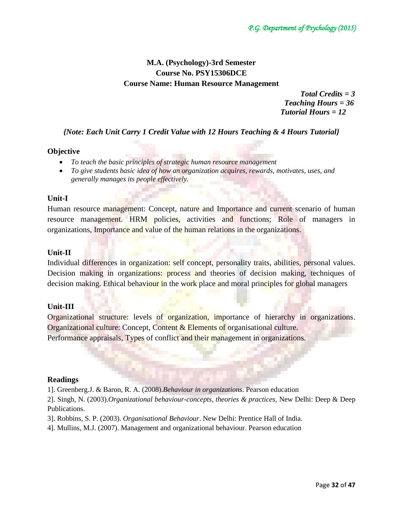# **M.A. (Psychology)-3rd Semester Course No. PSY15306DCE Course Name: Human Resource Management**

 *Total Credits = 3 Teaching Hours = 36 Tutorial Hours = 12*

*{Note: Each Unit Carry 1 Credit Value with 12 Hours Teaching & 4 Hours Tutorial}*

## **Objective**

- *To teach the basic principles of strategic human resource management*
- *To give students basic idea of how an organization acquires, rewards, motivates, uses, and generally manages its people effectively.*

## **Unit-I**

Human resource management: Concept, nature and Importance and current scenario of human resource management. HRM policies, activities and functions; Role of managers in organizations, Importance and value of the human relations in the organizations.

## **Unit-II**

Individual differences in organization: self concept, personality traits, abilities, personal values. Decision making in organizations: process and theories of decision making, techniques of decision making. Ethical behaviour in the work place and moral principles for global managers

# **Unit-III**

Organizational structure: levels of organization, importance of hierarchy in organizations. Organizational culture: Concept, Content & Elements of organisational culture. Performance appraisals, Types of conflict and their management in organizations.

## **Readings**

1]. Greenberg.J. & Baron, R. A. (2008).*Behaviour in organizations*. Pearson education

2]. Singh, N. (2003).*Organizational behaviour-concepts, theories & practices,* New Delhi: Deep & Deep Publications.

3]. Robbins, S. P. (2003). *Organisational Behaviour*. New Delhi: Prentice Hall of India.

4]. Mullins, M.J. (2007). Management and organizational behaviour. Pearson education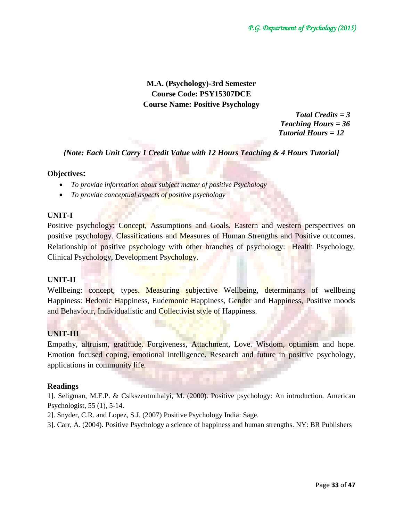# **M.A. (Psychology)-3rd Semester Course Code: PSY15307DCE Course Name: Positive Psychology**

 *Total Credits = 3 Teaching Hours = 36 Tutorial Hours = 12*

*{Note: Each Unit Carry 1 Credit Value with 12 Hours Teaching & 4 Hours Tutorial}*

# **Objectives:**

- *To provide information about subject matter of positive Psychology*
- *To provide conceptual aspects of positive psychology*

# **UNIT-I**

Positive psychology: Concept, Assumptions and Goals. Eastern and western perspectives on positive psychology. Classifications and Measures of Human Strengths and Positive outcomes. Relationship of positive psychology with other branches of psychology: Health Psychology, Clinical Psychology, Development Psychology.

# **UNIT-II**

Wellbeing: concept, types. Measuring subjective Wellbeing, determinants of wellbeing Happiness: Hedonic Happiness, Eudemonic Happiness, Gender and Happiness, Positive moods and Behaviour, Individualistic and Collectivist style of Happiness.

# **UNIT-III**

Empathy, altruism, gratitude. Forgiveness, Attachment, Love. Wisdom, optimism and hope. Emotion focused coping, emotional intelligence. Research and future in positive psychology, applications in community life.

# **Readings**

1]. Seligman, M.E.P. & Csikszentmihalyi, M. (2000). Positive psychology: An introduction. American Psychologist, 55 (1), 5-14.

- 2]. Snyder, C.R. and Lopez, S.J. (2007) Positive Psychology India: Sage.
- 3]. Carr, A. (2004). Positive Psychology a science of happiness and human strengths. NY: BR Publishers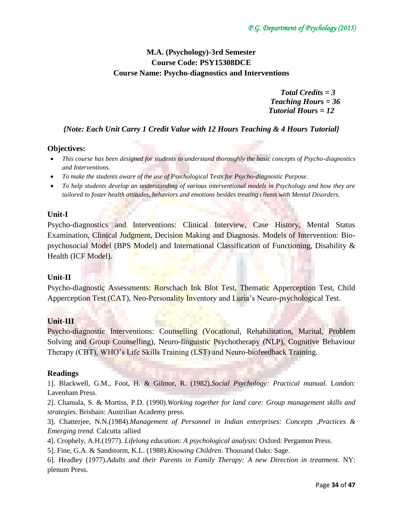# **M.A. (Psychology)-3rd Semester Course Code: PSY15308DCE Course Name: Psycho-diagnostics and Interventions**

*Total Credits = 3 Teaching Hours = 36 Tutorial Hours = 12*

*{Note: Each Unit Carry 1 Credit Value with 12 Hours Teaching & 4 Hours Tutorial}*

# **Objectives:**

- *This course has been designed for students to understand thoroughly the basic concepts of Psycho-diagnostics and Interventions.*
- *To make the students aware of the use of Psychological Tests for Psycho-diagnostic Purpose.*
- *To help students develop an understanding of various interventional models in Psychology and how they are tailored to foster health attitudes, behaviors and emotions besides treating clients with Mental Disorders.*

# **Unit-I**

Psycho-diagnostics and Interventions: Clinical Interview, Case History, Mental Status Examination, Clinical Judgment, Decision Making and Diagnosis. Models of Intervention: Biopsychosocial Model (BPS Model) and International Classification of Functioning, Disability & Health (ICF Model).

# **Unit-II**

Psycho-diagnostic Assessments: Rorschach Ink Blot Test, Thematic Apperception Test, Child Apperception Test (CAT), Neo-Personality Inventory and Luria's Neuro-psychological Test.

# **Unit-III**

Psycho-diagnostic Interventions: Counselling (Vocational, Rehabilitation, Marital, Problem Solving and Group Counselling), Neuro-linguistic Psychotherapy (NLP), Cognitive Behaviour Therapy (CBT), WHO's Life Skills Training (LST) and Neuro-biofeedback Training.

## **Readings**

1]. Blackwell, G.M., Foot, H. & Gilmor, R. (1982).*Social Psychology: Practical manual.* London: Lavenham Press.

2]. Chamala, S. & Mortiss, P.D. (1990).*Working together for land care: Group management skills and strategies*. Brisbain: Austrilian Academy press.

3]. Chatterjee, N.N.(1984).*Management of Personnel in Indian enterprises: Concepts ,Practices & Emerging trend.* Calcutta :allied

4]. Crophely, A.H.(1977). *Lifelong education: A psychological analysis*: Oxford: Pergamon Press.

5]. Fine, G.A. & Sandstorm, K.L. (1988).*Knowing Children*. Thousand Oaks: Sage.

6]. Headley (1977).*Adults and their Parents in Family Therapy: A new Direction in treatment*. NY: plenum Press.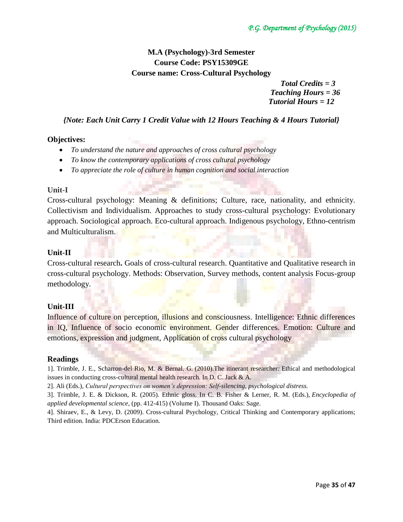# **M.A (Psychology)-3rd Semester Course Code: PSY15309GE Course name: Cross-Cultural Psychology**

*Total Credits = 3 Teaching Hours = 36 Tutorial Hours = 12*

*{Note: Each Unit Carry 1 Credit Value with 12 Hours Teaching & 4 Hours Tutorial}*

# **Objectives:**

- *To understand the nature and approaches of cross cultural psychology*
- *To know the contemporary applications of cross cultural psychology*
- *To appreciate the role of culture in human cognition and social interaction*

## **Unit-I**

Cross-cultural psychology: Meaning & definitions; Culture, race, nationality, and ethnicity. Collectivism and Individualism. Approaches to study cross-cultural psychology: Evolutionary approach. Sociological approach. Eco-cultural approach. Indigenous psychology, Ethno-centrism and Multiculturalism.

## **Unit-II**

Cross-cultural research**.** Goals of cross-cultural research. Quantitative and Qualitative research in cross-cultural psychology. Methods: Observation, Survey methods, content analysis Focus-group methodology.

# **Unit-III**

Influence of culture on perception, illusions and consciousness. Intelligence: Ethnic differences in IQ, Influence of socio economic environment. Gender differences. Emotion: Culture and emotions, expression and judgment, Application of cross cultural psychology

## **Readings**

1]. Trimble, J. E., Scharron-del Rio, M. & Bernal. G*.* (2010).The itinerant researcher*:* Ethical and methodological issues in conducting cross-cultural mental health research. In D. C. Jack & A.

2]. Ali (Eds.), *Cultural perspectives on women's depression: Self-silencing, psychological distress.*

3]. Trimble, J. E. & Dickson, R. (2005). Ethnic gloss. In C. B. Fisher & Lerner, R. M. (Eds.), *Encyclopedia of applied developmental science*, (pp. 412-415) (Volume I). Thousand Oaks: Sage.

4]. Shiraev, E., & Levy, D. (2009). Cross-cultural Psychology, Critical Thinking and Contemporary applications; Third edition. India: PDCErson Education.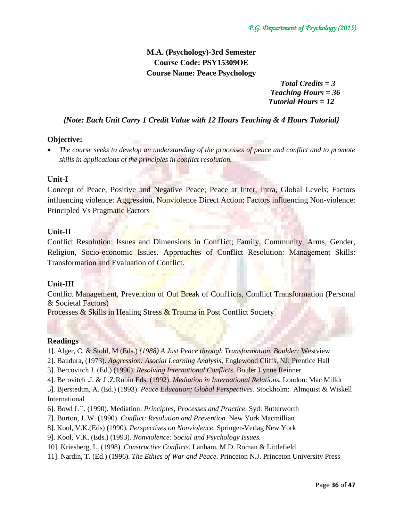# **M.A. (Psychology)-3rd Semester Course Code: PSY15309OE Course Name: Peace Psychology**

*Total Credits = 3 Teaching Hours = 36 Tutorial Hours = 12*

# *{Note: Each Unit Carry 1 Credit Value with 12 Hours Teaching & 4 Hours Tutorial}*

## **Objective:**

 *The course seeks to develop an understanding of the processes of peace and conflict and to promote skills in applications of the principles in conflict resolution.*

## **Unit-I**

Concept of Peace, Positive and Negative Peace; Peace at Inter, Intra, Global Levels; Factors influencing violence: Aggression, Nonviolence Direct Action; Factors influencing Non-violence: Principled Vs Pragmatic Factors

## **Unit-II**

Conflict Resolution: Issues and Dimensions in Conf1ict; Family, Community, Arms, Gender, Religion, Socio-economic Issues. Approaches of Conflict Resolution: Management Skills: Transformation and Evaluation of Conflict.

## **Unit-III**

Conflict Management, Prevention of Out Break of Conflicts, Conflict Transformation (Personal & Societal Factors)

Processes & Skills in Healing Stress & Trauma in Post Conflict Society

## **Readings**

- 1]. Alger, C. & Stohl, M (Eds.) *(1988) A Just Peace through Transformation. Boulder:* Westview
- 2]. Baudura, (1973). *Aggression: Asocial Learning Analysis,* Englewood Cliffs, NJ: Prentice Hall
- 3]. Bercovitch J. (Ed.) (1996). *Resolving International Conflicts.* Bouler Lynne Reinner
- 4]. Berovitch .J. & J .Z.Rubin Eds. (1992). *Mediation in International Relations.* London: Mac Milldr

5]. Bjerstedtm, A. (Ed.) (1993). *Peace Education; Global Perspectives.* Stockholm: Almquist & Wiskell International

- 6]. Bowl L``. (1990). Mediation: *Principles, Processes and Practice.* Syd: Butterworth
- 7]. Burton, J. W. (1990). *Conflict: Resolution and Prevention.* New York Macmillian
- 8]. Kool, V.K.(Eds) (1990). *Perspectives on Nonviolence.* Springer-Verlag New York
- 9]. Kool, V.K. (Eds.) (1993). *Nonviolence: Social and Psychology Issues.*
- 10]. Kriesberg, L. (1998). *Constructive Conflicts.* Lanham, M.D. Roman & Littlefield
- 11]. Nardin, T. (Ed.) (1996). *The Ethics of War and Peace.* Princeton N.J. Princeton University Press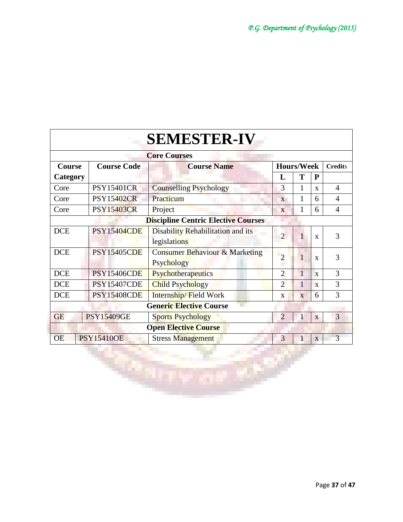|                                            |                                          | <b>SEMESTER-IV</b>                                      |                |                         |                   |                |  |
|--------------------------------------------|------------------------------------------|---------------------------------------------------------|----------------|-------------------------|-------------------|----------------|--|
|                                            |                                          | <b>Core Courses</b>                                     |                |                         |                   |                |  |
| Course                                     | <b>Course Code</b><br><b>Course Name</b> |                                                         |                |                         | <b>Hours/Week</b> | <b>Credits</b> |  |
| Category                                   |                                          |                                                         | L              | T                       | P                 |                |  |
| Core                                       | <b>PSY15401CR</b>                        | <b>Counselling Psychology</b>                           | 3              | $\mathbf{1}$            | $\mathbf{X}$      | $\overline{4}$ |  |
| Core                                       | <b>PSY15402CR</b>                        | Practicum                                               | $\mathbf{X}$   | $\mathbf{1}$            | 6                 | $\overline{4}$ |  |
| Core                                       | <b>PSY15403CR</b>                        | Project                                                 | X              | 1                       | 6                 | 4              |  |
| <b>Discipline Centric Elective Courses</b> |                                          |                                                         |                |                         |                   |                |  |
| <b>DCE</b>                                 | <b>PSY15404CDE</b>                       | Disability Rehabilitation and its                       | $\overline{2}$ | $\mathbf{1}$            | $\mathbf{x}$      | 3              |  |
|                                            |                                          | legislations                                            |                |                         |                   |                |  |
| <b>DCE</b>                                 | <b>PSY15405CDE</b>                       | <b>Consumer Behaviour &amp; Marketing</b><br>Psychology | $\overline{2}$ | 1                       | $\mathbf{x}$      | 3              |  |
| <b>DCE</b>                                 | <b>PSY15406CDE</b>                       | Psychotherapeutics                                      | $\overline{2}$ | $\mathbf{1}$            | $\mathbf{x}$      | 3              |  |
| <b>DCE</b>                                 | <b>PSY15407CDE</b>                       | <b>Child Psychology</b>                                 | $\overline{2}$ | 1                       | X                 | 3              |  |
| <b>DCE</b>                                 | <b>PSY15408CDE</b>                       | Internship/Field Work                                   | X              | $\overline{\mathbf{X}}$ | 6                 | 3              |  |
|                                            |                                          | <b>Generic Elective Course</b>                          |                |                         |                   |                |  |
| <b>GE</b>                                  | <b>PSY15409GE</b>                        | <b>Sports Psychology</b>                                | $\overline{2}$ | $\mathbf{1}$            | X                 | 3              |  |
|                                            |                                          | <b>Open Elective Course</b>                             |                |                         |                   |                |  |
| <b>OE</b>                                  | <b>PSY15410OE</b>                        | <b>Stress Management</b>                                | 3              |                         | X                 | 3              |  |

 $\blacksquare$ 

Q.

æ

œ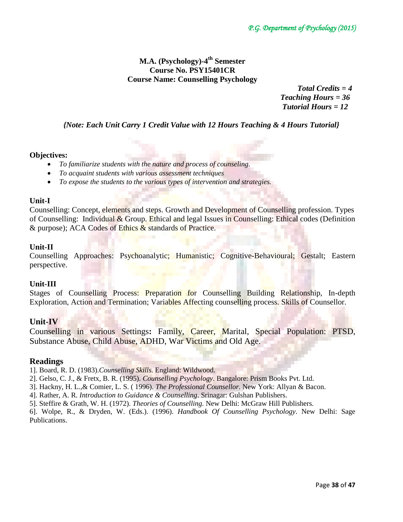# **M.A. (Psychology)-4 th Semester Course No. PSY15401CR Course Name: Counselling Psychology**

 *Total Credits = 4 Teaching Hours = 36 Tutorial Hours = 12*

*{Note: Each Unit Carry 1 Credit Value with 12 Hours Teaching & 4 Hours Tutorial}*

## **Objectives:**

- *To familiarize students with the nature and process of counseling.*
- *To acquaint students with various assessment techniques*
- *To expose the students to the various types of intervention and strategies.*

## **Unit-I**

Counselling: Concept, elements and steps. Growth and Development of Counselling profession. Types of Counselling: Individual & Group. Ethical and legal Issues in Counselling: Ethical codes (Definition & purpose); ACA Codes of Ethics & standards of Practice.

## **Unit-II**

Counselling Approaches: Psychoanalytic; Humanistic; Cognitive-Behavioural; Gestalt; Eastern perspective.

## **Unit-III**

Stages of Counselling Process: Preparation for Counselling Building Relationship, In-depth Exploration, Action and Termination; Variables Affecting counselling process. Skills of Counsellor.

# **Unit-IV**

Counselling in various Settings**:** Family, Career, Marital, Special Population: PTSD, Substance Abuse, Child Abuse, ADHD, War Victims and Old Age.

## **Readings**

1]. Board, R. D. (1983).*Counselling Skills.* England: Wildwood.

- 2]. Gelso, C. J., & Fretx, B. R. (1995). *Counselling Psychology*. Bangalore: Prism Books Pvt. Ltd.
- 3]. Hackny, H. L.,& Comier, L. S. ( 1996). *The Professional Counsellor*. New York: Allyan & Bacon.
- 4]. Rather, A. R. *Introduction to Guidance & Counselling*. Srinagar: Gulshan Publishers.
- 5]. Steffire & Grath, W. H. (1972). *Theories of Counselling.* New Delhi: McGraw Hill Publishers.

6]. Wolpe, R., & Dryden, W. (Eds.). (1996). *Handbook Of Counselling Psychology*. New Delhi: Sage Publications.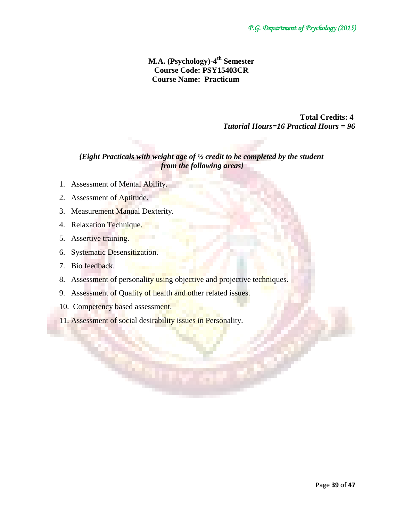# **M.A. (Psychology)-4 th Semester Course Code: PSY15403CR Course Name: Practicum**

 **Total Credits: 4**   *Tutorial Hours=16 Practical Hours = 96*

# *{Eight Practicals with weight age of ½ credit to be completed by the student from the following areas}*

- 1. Assessment of Mental Ability.
- 2. Assessment of Aptitude.
- 3. Measurement Manual Dexterity.
- 4. Relaxation Technique.
- 5. Assertive training.
- 6. Systematic Desensitization.
- 7. Bio feedback.
- 8. Assessment of personality using objective and projective techniques.
- 9. Assessment of Quality of health and other related issues.
- 10. Competency based assessment.
- 11. Assessment of social desirability issues in Personality.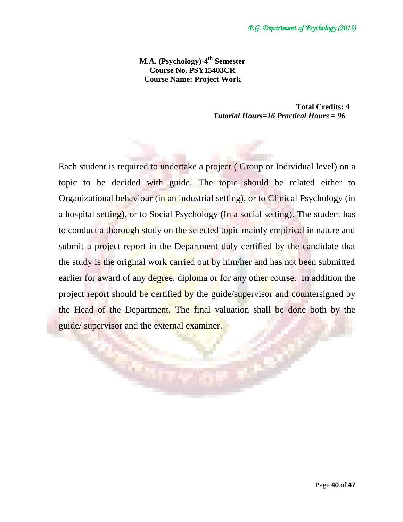**M.A. (Psychology)-4 th Semester Course No. PSY15403CR Course Name: Project Work**

> **Total Credits: 4**   *Tutorial Hours=16 Practical Hours = 96*

Each student is required to undertake a project ( Group or Individual level) on a topic to be decided with guide. The topic should be related either to Organizational behaviour (in an industrial setting), or to Clinical Psychology (in a hospital setting), or to Social Psychology (In a social setting). The student has to conduct a thorough study on the selected topic mainly empirical in nature and submit a project report in the Department duly certified by the candidate that the study is the original work carried out by him/her and has not been submitted earlier for award of any degree, diploma or for any other course. In addition the project report should be certified by the guide/supervisor and countersigned by the Head of the Department. The final valuation shall be done both by the guide/ supervisor and the external examiner.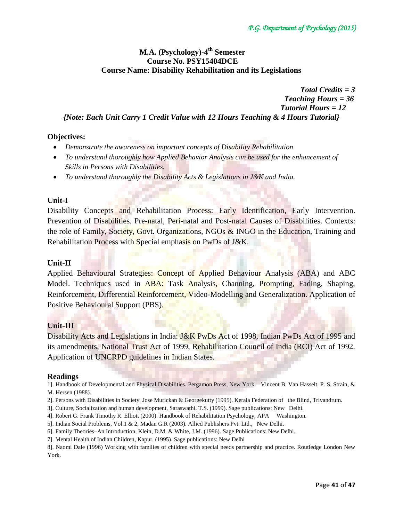# **M.A. (Psychology)-4 th Semester Course No. PSY15404DCE Course Name: Disability Rehabilitation and its Legislations**

 *Total Credits = 3 Teaching Hours = 36 Tutorial Hours = 12 {Note: Each Unit Carry 1 Credit Value with 12 Hours Teaching & 4 Hours Tutorial}*

# **Objectives:**

- *Demonstrate the awareness on important concepts of Disability Rehabilitation*
- *To understand thoroughly how Applied Behavior Analysis can be used for the enhancement of Skills in Persons with Disabilities.*
- *To understand thoroughly the Disability Acts & Legislations in J&K and India.*

# **Unit-I**

Disability Concepts and Rehabilitation Process: Early Identification, Early Intervention. Prevention of Disabilities. Pre-natal, Peri-natal and Post-natal Causes of Disabilities. Contexts: the role of Family, Society, Govt. Organizations, NGOs & INGO in the Education, Training and Rehabilitation Process with Special emphasis on PwDs of J&K.

# **Unit-II**

Applied Behavioural Strategies: Concept of Applied Behaviour Analysis (ABA) and ABC Model. Techniques used in ABA: Task Analysis, Channing, Prompting, Fading, Shaping, Reinforcement, Differential Reinforcement, Video-Modelling and Generalization. Application of Positive Behavioural Support (PBS).

# **Unit-III**

Disability Acts and Legislations in India: J&K PwDs Act of 1998, Indian PwDs Act of 1995 and its amendments, National Trust Act of 1999, Rehabilitation Council of India (RCI) Act of 1992. Application of UNCRPD guidelines in Indian States.

## **Readings**

1]. Handbook of Developmental and Physical Disabilities. Pergamon Press, New York. Vincent B. Van Hasselt, P. S. Strain, & M. Hersen (1988).

- 2]. Persons with Disabilities in Society. Jose Murickan & Georgekutty (1995). Kerala Federation of the Blind, Trivandrum.
- 3]. Culture, Socialization and human development, Saraswathi, T.S. (1999). Sage publications: New Delhi.
- 4]. Robert G. Frank Timothy R. Elliott (2000). Handbook of Rehabilitation Psychology, APA Washington.
- 5]. Indian Social Problems, Vol.1 & 2, Madan G.R (2003). Allied Publishers Pvt. Ltd., New Delhi.
- 6]. Family Theories–An Introduction, Klein, D.M. & White, J.M. (1996). Sage Publications: New Delhi.
- 7]. Mental Health of Indian Children, Kapur, (1995). Sage publications: New Delhi

8]. Naomi Dale (1996) Working with families of children with special needs partnership and practice. Routledge London New York.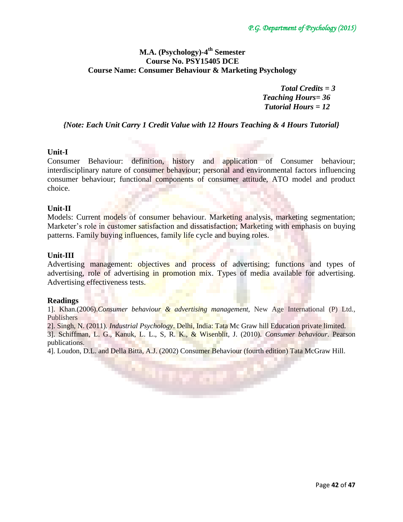# **M.A. (Psychology)-4 th Semester Course No. PSY15405 DCE Course Name: Consumer Behaviour & Marketing Psychology**

*Total Credits = 3 Teaching Hours= 36 Tutorial Hours = 12*

*{Note: Each Unit Carry 1 Credit Value with 12 Hours Teaching & 4 Hours Tutorial}*

# **Unit-I**

Consumer Behaviour: definition, history and application of Consumer behaviour; interdisciplinary nature of consumer behaviour; personal and environmental factors influencing consumer behaviour; functional components of consumer attitude, ATO model and product choice.

## **Unit-II**

Models: Current models of consumer behaviour. Marketing analysis, marketing segmentation; Marketer's role in customer satisfaction and dissatisfaction; Marketing with emphasis on buying patterns. Family buying influences, family life cycle and buying roles.

## **Unit-III**

Advertising management: objectives and process of advertising; functions and types of advertising, role of advertising in promotion mix. Types of media available for advertising. Advertising effectiveness tests.

## **Readings**

1]. Khan.(2006).*Consumer behaviour & advertising management,* New Age International (P) Ltd., Publishers

2]. Singh, N. (2011). *Industrial Psychology*. Delhi, India: Tata Mc Graw hill Education private limited.

3]. Schiffman, L. G., Kanuk, L. L., S, R. K., & Wisenblit, J. (2010). *Consumer behaviour.* Pearson publications.

4]. Loudon, D.L. and Della Bitta, A.J. (2002) Consumer Behaviour (fourth edition) Tata McGraw Hill.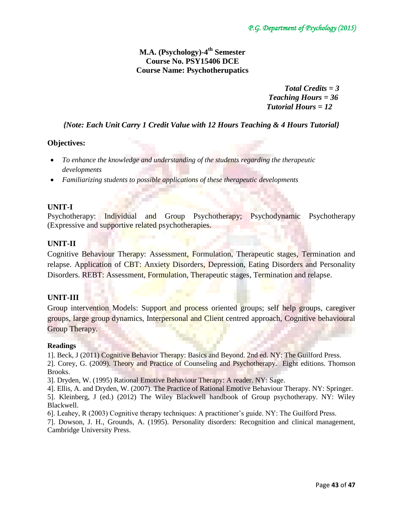# **M.A. (Psychology)-4 th Semester Course No. PSY15406 DCE Course Name: Psychotherupatics**

 *Total Credits = 3 Teaching Hours = 36 Tutorial Hours = 12*

# *{Note: Each Unit Carry 1 Credit Value with 12 Hours Teaching & 4 Hours Tutorial}*

# **Objectives:**

- *To enhance the knowledge and understanding of the students regarding the therapeutic developments*
- *Familiarizing students to possible applications of these therapeutic developments*

## **UNIT-I**

Psychotherapy: Individual and Group Psychotherapy; Psychodynamic Psychotherapy (Expressive and supportive related psychotherapies.

# **UNIT-II**

Cognitive Behaviour Therapy: Assessment, Formulation, Therapeutic stages, Termination and relapse. Application of CBT: Anxiety Disorders, Depression, Eating Disorders and Personality Disorders. REBT: Assessment, Formulation, Therapeutic stages, Termination and relapse.

# **UNIT-III**

Group intervention Models: Support and process oriented groups; self help groups, caregiver groups, large group dynamics, Interpersonal and Client centred approach, Cognitive behavioural Group Therapy.

## **Readings**

1]. Beck, J (2011) Cognitive Behavior Therapy: Basics and Beyond. 2nd ed. NY: The Guilford Press.

2]. Corey, G. (2009). Theory and Practice of Counseling and Psychotherapy. Eight editions. Thomson Brooks.

3]. Dryden, W. (1995) Rational Emotive Behaviour Therapy: A reader. NY: Sage.

- 4]. Ellis, A. and Dryden, W. (2007). The Practice of Rational Emotive Behaviour Therapy. NY: Springer. 5]. Kleinberg, J (ed.) (2012) The Wiley Blackwell handbook of Group psychotherapy. NY: Wiley Blackwell.
- 6]. Leahey, R (2003) Cognitive therapy techniques: A practitioner's guide. NY: The Guilford Press.

7]. Dowson, J. H., Grounds, A. (1995). Personality disorders: Recognition and clinical management, Cambridge University Press.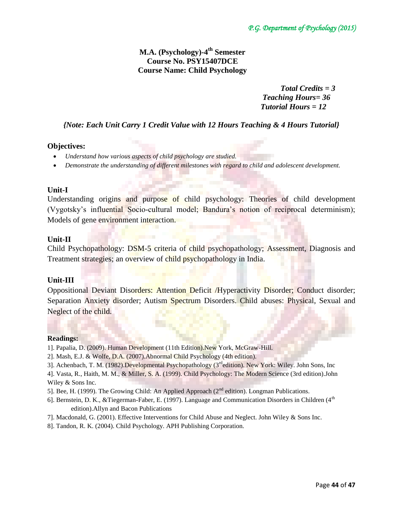# **M.A. (Psychology)-4 th Semester Course No. PSY15407DCE Course Name: Child Psychology**

*Total Credits = 3 Teaching Hours= 36 Tutorial Hours = 12*

# *{Note: Each Unit Carry 1 Credit Value with 12 Hours Teaching & 4 Hours Tutorial}*

# **Objectives:**

- *Understand how various aspects of child psychology are studied.*
- *Demonstrate the understanding of different milestones with regard to child and adolescent development.*

## **Unit-I**

Understanding origins and purpose of child psychology: Theories of child development (Vygotsky's influential Socio-cultural model; Bandura's notion of reciprocal determinism); Models of gene environment interaction.

## **Unit-II**

Child Psychopathology: DSM-5 criteria of child psychopathology; Assessment, Diagnosis and Treatment strategies; an overview of child psychopathology in India.

## **Unit-III**

Oppositional Deviant Disorders: Attention Deficit /Hyperactivity Disorder; Conduct disorder; Separation Anxiety disorder; Autism Spectrum Disorders. Child abuses: Physical, Sexual and Neglect of the child.

#### **Readings:**

- 1]. Papalia, D. (2009). Human Development (11th Edition).New York, McGraw-Hill.
- 2]. Mash, E.J. & Wolfe, D.A. (2007).Abnormal Child Psychology (4th edition).
- 3]. Achenbach, T. M. (1982).Developmental Psychopathology (3<sup>rd</sup>edition). New York: Wiley. John Sons, Inc
- 4]. Vasta, R., Haith, M. M., & Miller, S. A. (1999). Child Psychology: The Modern Science (3rd edition).John Wiley & Sons Inc.
- 5]. Bee, H. (1999). The Growing Child: An Applied Approach ( $2<sup>nd</sup>$  edition). Longman Publications.
- 6]. Bernstein, D. K., &Tiegerman-Faber, E. (1997). Language and Communication Disorders in Children (4<sup>th</sup> edition).Allyn and Bacon Publications
- 7]. Macdonald, G. (2001). Effective Interventions for Child Abuse and Neglect. John Wiley & Sons Inc.
- 8]. Tandon, R. K. (2004). Child Psychology. APH Publishing Corporation.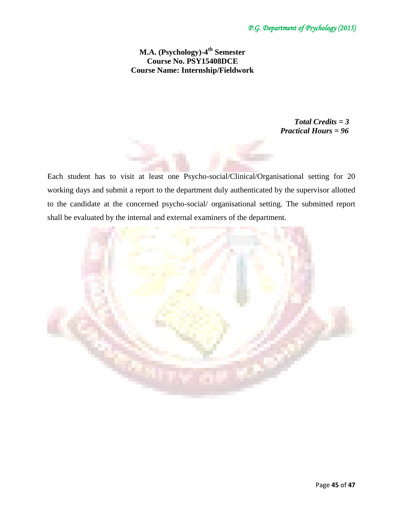# **M.A. (Psychology)-4 th Semester Course No. PSY15408DCE Course Name: Internship/Fieldwork**

 *Total Credits = 3 Practical Hours = 96*

Each student has to visit at least one Psycho-social/Clinical/Organisational setting for 20 working days and submit a report to the department duly authenticated by the supervisor allotted to the candidate at the concerned psycho-social/ organisational setting. The submitted report shall be evaluated by the internal and external examiners of the department.

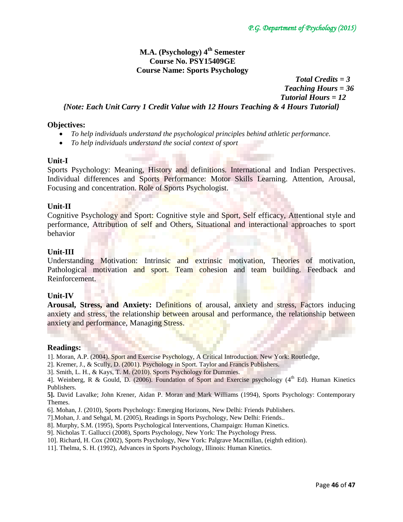# **M.A. (Psychology) 4th Semester Course No. PSY15409GE Course Name: Sports Psychology**

 *Total Credits = 3 Teaching Hours = 36 Tutorial Hours = 12 {Note: Each Unit Carry 1 Credit Value with 12 Hours Teaching & 4 Hours Tutorial}*

## **Objectives:**

- *To help individuals understand the psychological principles behind athletic performance.*
- *To help individuals understand the social context of sport*

## **Unit-I**

Sports Psychology: Meaning, History and definitions. International and Indian Perspectives. Individual differences and Sports Performance: Motor Skills Learning. Attention, Arousal, Focusing and concentration. Role of Sports Psychologist.

## **Unit-II**

Cognitive Psychology and Sport: Cognitive style and Sport, Self efficacy, Attentional style and performance, Attribution of self and Others, Situational and interactional approaches to sport behavior

## **Unit-III**

Understanding Motivation: Intrinsic and extrinsic motivation, Theories of motivation, Pathological motivation and sport. Team cohesion and team building. Feedback and Reinforcement.

## **Unit-IV**

**Arousal, Stress, and Anxiety:** Definitions of arousal, anxiety and stress, Factors inducing anxiety and stress, the relationship between arousal and performance, the relationship between anxiety and performance, Managing Stress.

## **Readings:**

1]. Moran, A.P. (2004). Sport and Exercise Psychology, A Critical Introduction. New York: Routledge,

- 2]. Kremer, J., & Scully, D. (2001). Psychology in Sport. Taylor and Francis Publishers.
- 3]. Smith, L. H., & Kays, T. M. (2010). Sports Psychology for Dummies.
- 4]. Weinberg, R & Gould, D. (2006). Foundation of Sport and Exercise psychology (4<sup>th</sup> Ed). Human Kinetics Publishers.
- **5].** David Lavalke; John Krener, Aidan P. Moran and Mark Williams (1994), Sports Psychology: Contemporary Themes.
- 6]. Mohan, J. (2010), Sports Psychology: Emerging Horizons, New Delhi: Friends Publishers.
- 7].Mohan, J. and Sehgal, M. (2005), Readings in Sports Psychology, New Delhi: Friends..
- 8]. Murphy, S.M. (1995), Sports Psychological Interventions, Champaign: Human Kinetics.
- 9]. Nicholas T. Gallucci (2008), Sports Psychology, New York: The Psychology Press.
- 10]. Richard, H. Cox (2002), Sports Psychology, New York: Palgrave Macmillan, (eighth edition).
- 11]. Thelma, S. H. (1992), Advances in Sports Psychology, Illinois: Human Kinetics.